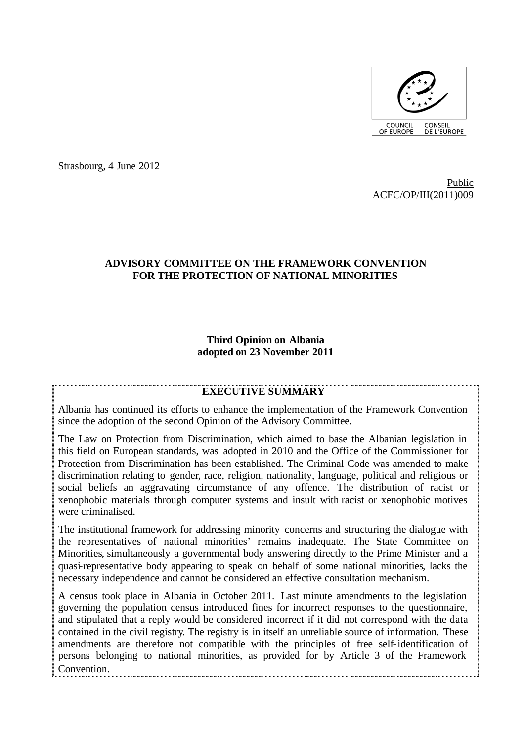

Strasbourg, 4 June 2012

Public ACFC/OP/III(2011)009

### **ADVISORY COMMITTEE ON THE FRAMEWORK CONVENTION FOR THE PROTECTION OF NATIONAL MINORITIES**

#### **Third Opinion on Albania adopted on 23 November 2011**

### **EXECUTIVE SUMMARY**

Albania has continued its efforts to enhance the implementation of the Framework Convention since the adoption of the second Opinion of the Advisory Committee.

The Law on Protection from Discrimination, which aimed to base the Albanian legislation in this field on European standards, was adopted in 2010 and the Office of the Commissioner for Protection from Discrimination has been established. The Criminal Code was amended to make discrimination relating to gender, race, religion, nationality, language, political and religious or social beliefs an aggravating circumstance of any offence. The distribution of racist or xenophobic materials through computer systems and insult with racist or xenophobic motives were criminalised.

The institutional framework for addressing minority concerns and structuring the dialogue with the representatives of national minorities' remains inadequate. The State Committee on Minorities, simultaneously a governmental body answering directly to the Prime Minister and a quasi-representative body appearing to speak on behalf of some national minorities, lacks the necessary independence and cannot be considered an effective consultation mechanism.

A census took place in Albania in October 2011. Last minute amendments to the legislation governing the population census introduced fines for incorrect responses to the questionnaire, and stipulated that a reply would be considered incorrect if it did not correspond with the data contained in the civil registry. The registry is in itself an unreliable source of information. These amendments are therefore not compatible with the principles of free self-identification of persons belonging to national minorities, as provided for by Article 3 of the Framework Convention.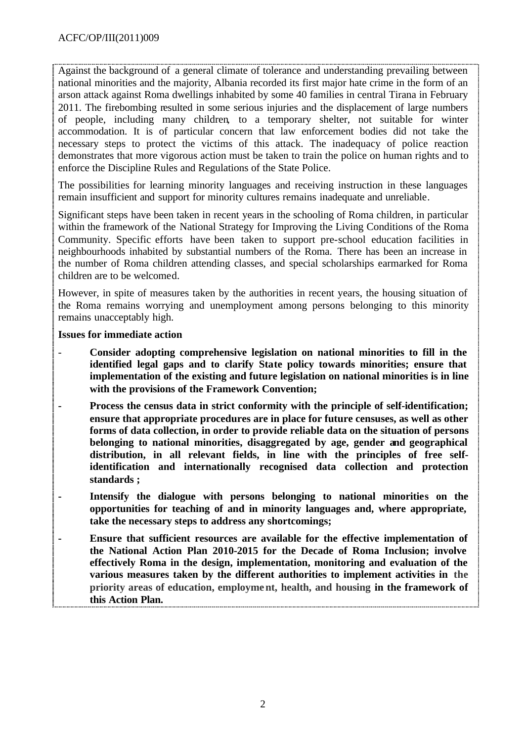Against the background of a general climate of tolerance and understanding prevailing between national minorities and the majority, Albania recorded its first major hate crime in the form of an arson attack against Roma dwellings inhabited by some 40 families in central Tirana in February 2011. The firebombing resulted in some serious injuries and the displacement of large numbers of people, including many children, to a temporary shelter, not suitable for winter accommodation. It is of particular concern that law enforcement bodies did not take the necessary steps to protect the victims of this attack. The inadequacy of police reaction demonstrates that more vigorous action must be taken to train the police on human rights and to enforce the Discipline Rules and Regulations of the State Police.

The possibilities for learning minority languages and receiving instruction in these languages remain insufficient and support for minority cultures remains inadequate and unreliable.

Significant steps have been taken in recent years in the schooling of Roma children, in particular within the framework of the National Strategy for Improving the Living Conditions of the Roma Community. Specific efforts have been taken to support pre-school education facilities in neighbourhoods inhabited by substantial numbers of the Roma. There has been an increase in the number of Roma children attending classes, and special scholarships earmarked for Roma children are to be welcomed.

However, in spite of measures taken by the authorities in recent years, the housing situation of the Roma remains worrying and unemployment among persons belonging to this minority remains unacceptably high.

#### **Issues for immediate action**

- **Consider adopting comprehensive legislation on national minorities to fill in the identified legal gaps and to clarify State policy towards minorities; ensure that implementation of the existing and future legislation on national minorities is in line with the provisions of the Framework Convention;**
- **- Process the census data in strict conformity with the principle of self-identification; ensure that appropriate procedures are in place for future censuses, as well as other forms of data collection, in order to provide reliable data on the situation of persons belonging to national minorities, disaggregated by age, gender and geographical distribution, in all relevant fields, in line with the principles of free selfidentification and internationally recognised data collection and protection standards ;**
- **- Intensify the dialogue with persons belonging to national minorities on the opportunities for teaching of and in minority languages and, where appropriate, take the necessary steps to address any shortcomings;**
- **- Ensure that sufficient resources are available for the effective implementation of the National Action Plan 2010-2015 for the Decade of Roma Inclusion; involve effectively Roma in the design, implementation, monitoring and evaluation of the various measures taken by the different authorities to implement activities in the priority areas of education, employment, health, and housing in the framework of this Action Plan.**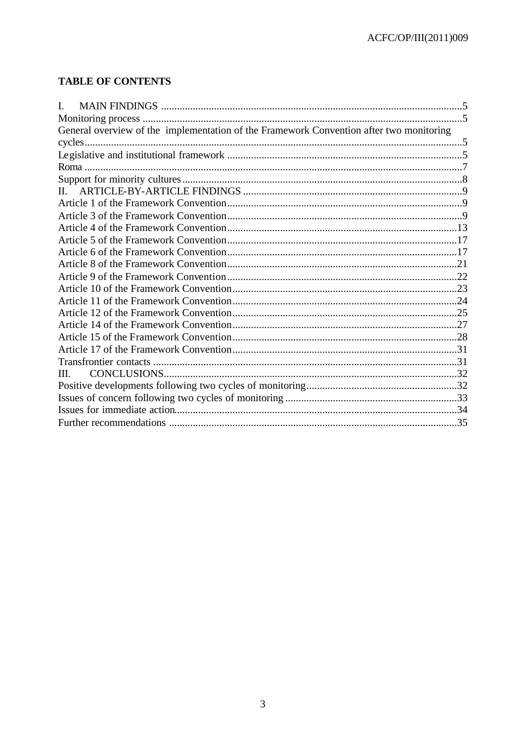# **TABLE OF CONTENTS**

| I.                                                                                      |  |
|-----------------------------------------------------------------------------------------|--|
|                                                                                         |  |
| General overview of the implementation of the Framework Convention after two monitoring |  |
|                                                                                         |  |
|                                                                                         |  |
|                                                                                         |  |
|                                                                                         |  |
| $\Pi$ .                                                                                 |  |
|                                                                                         |  |
|                                                                                         |  |
|                                                                                         |  |
|                                                                                         |  |
|                                                                                         |  |
|                                                                                         |  |
|                                                                                         |  |
|                                                                                         |  |
|                                                                                         |  |
|                                                                                         |  |
|                                                                                         |  |
|                                                                                         |  |
|                                                                                         |  |
|                                                                                         |  |
| III.                                                                                    |  |
|                                                                                         |  |
|                                                                                         |  |
|                                                                                         |  |
|                                                                                         |  |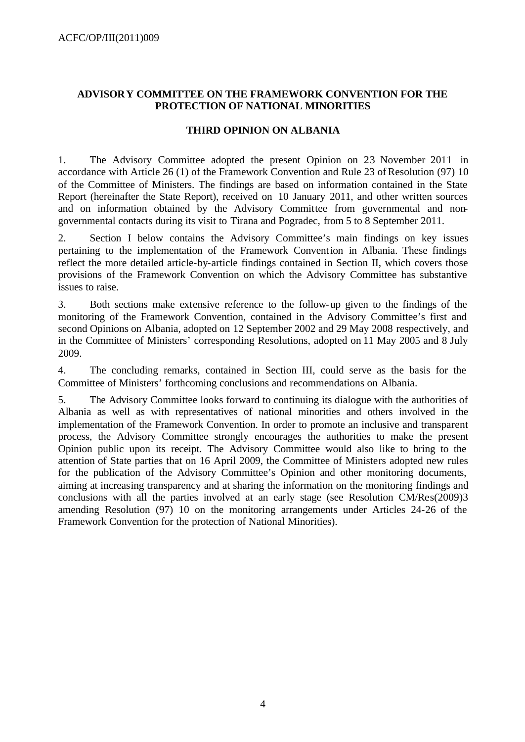### **ADVISORY COMMITTEE ON THE FRAMEWORK CONVENTION FOR THE PROTECTION OF NATIONAL MINORITIES**

#### **THIRD OPINION ON ALBANIA**

1. The Advisory Committee adopted the present Opinion on 23 November 2011 in accordance with Article 26 (1) of the Framework Convention and Rule 23 of Resolution (97) 10 of the Committee of Ministers. The findings are based on information contained in the State Report (hereinafter the State Report), received on 10 January 2011, and other written sources and on information obtained by the Advisory Committee from governmental and nongovernmental contacts during its visit to Tirana and Pogradec, from 5 to 8 September 2011.

2. Section I below contains the Advisory Committee's main findings on key issues pertaining to the implementation of the Framework Convention in Albania. These findings reflect the more detailed article-by-article findings contained in Section II, which covers those provisions of the Framework Convention on which the Advisory Committee has substantive issues to raise.

3. Both sections make extensive reference to the follow-up given to the findings of the monitoring of the Framework Convention, contained in the Advisory Committee's first and second Opinions on Albania, adopted on 12 September 2002 and 29 May 2008 respectively, and in the Committee of Ministers' corresponding Resolutions, adopted on 11 May 2005 and 8 July 2009.

4. The concluding remarks, contained in Section III, could serve as the basis for the Committee of Ministers' forthcoming conclusions and recommendations on Albania.

5. The Advisory Committee looks forward to continuing its dialogue with the authorities of Albania as well as with representatives of national minorities and others involved in the implementation of the Framework Convention. In order to promote an inclusive and transparent process, the Advisory Committee strongly encourages the authorities to make the present Opinion public upon its receipt. The Advisory Committee would also like to bring to the attention of State parties that on 16 April 2009, the Committee of Ministers adopted new rules for the publication of the Advisory Committee's Opinion and other monitoring documents, aiming at increasing transparency and at sharing the information on the monitoring findings and conclusions with all the parties involved at an early stage (see Resolution CM/Res(2009)3 amending Resolution (97) 10 on the monitoring arrangements under Articles 24-26 of the Framework Convention for the protection of National Minorities).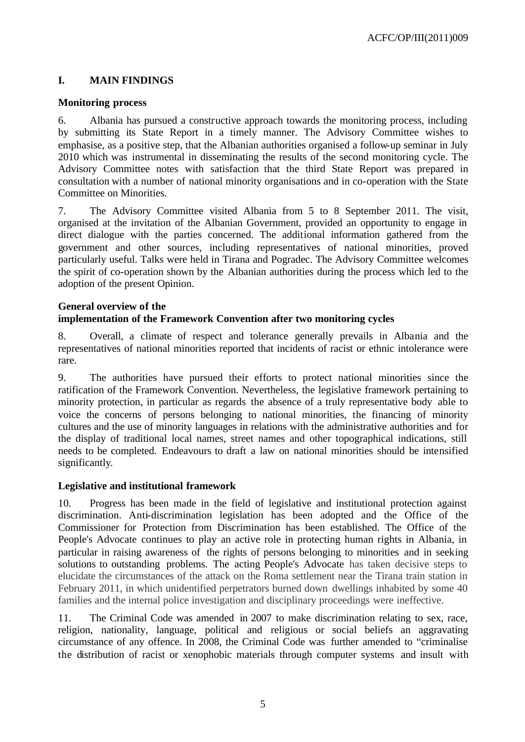# **I. MAIN FINDINGS**

### **Monitoring process**

6. Albania has pursued a constructive approach towards the monitoring process, including by submitting its State Report in a timely manner. The Advisory Committee wishes to emphasise, as a positive step, that the Albanian authorities organised a follow-up seminar in July 2010 which was instrumental in disseminating the results of the second monitoring cycle. The Advisory Committee notes with satisfaction that the third State Report was prepared in consultation with a number of national minority organisations and in co-operation with the State Committee on Minorities.

7. The Advisory Committee visited Albania from 5 to 8 September 2011. The visit, organised at the invitation of the Albanian Government, provided an opportunity to engage in direct dialogue with the parties concerned. The additional information gathered from the government and other sources, including representatives of national minorities, proved particularly useful. Talks were held in Tirana and Pogradec. The Advisory Committee welcomes the spirit of co-operation shown by the Albanian authorities during the process which led to the adoption of the present Opinion.

# **General overview of the implementation of the Framework Convention after two monitoring cycles**

8. Overall, a climate of respect and tolerance generally prevails in Albania and the representatives of national minorities reported that incidents of racist or ethnic intolerance were rare.

9. The authorities have pursued their efforts to protect national minorities since the ratification of the Framework Convention. Nevertheless, the legislative framework pertaining to minority protection, in particular as regards the absence of a truly representative body able to voice the concerns of persons belonging to national minorities, the financing of minority cultures and the use of minority languages in relations with the administrative authorities and for the display of traditional local names, street names and other topographical indications, still needs to be completed. Endeavours to draft a law on national minorities should be intensified significantly.

### **Legislative and institutional framework**

10. Progress has been made in the field of legislative and institutional protection against discrimination. Anti-discrimination legislation has been adopted and the Office of the Commissioner for Protection from Discrimination has been established. The Office of the People's Advocate continues to play an active role in protecting human rights in Albania, in particular in raising awareness of the rights of persons belonging to minorities and in seeking solutions to outstanding problems. The acting People's Advocate has taken decisive steps to elucidate the circumstances of the attack on the Roma settlement near the Tirana train station in February 2011, in which unidentified perpetrators burned down dwellings inhabited by some 40 families and the internal police investigation and disciplinary proceedings were ineffective.

11. The Criminal Code was amended in 2007 to make discrimination relating to sex, race, religion, nationality, language, political and religious or social beliefs an aggravating circumstance of any offence. In 2008, the Criminal Code was further amended to "criminalise the distribution of racist or xenophobic materials through computer systems and insult with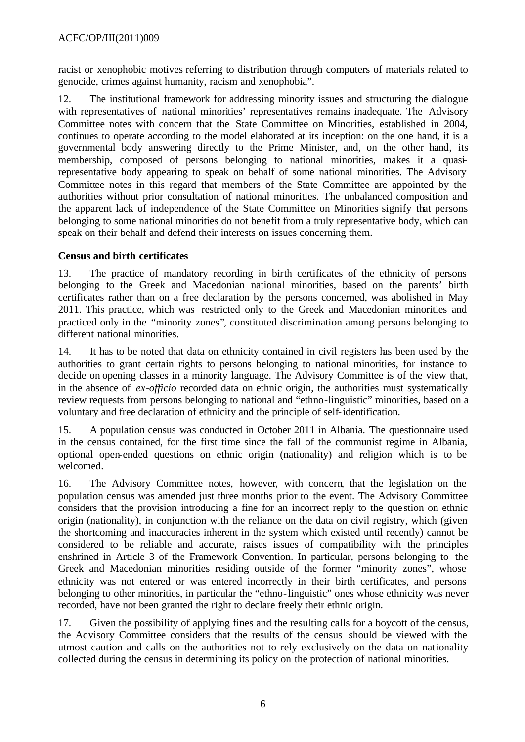racist or xenophobic motives referring to distribution through computers of materials related to genocide, crimes against humanity, racism and xenophobia".

12. The institutional framework for addressing minority issues and structuring the dialogue with representatives of national minorities' representatives remains inadequate. The Advisory Committee notes with concern that the State Committee on Minorities, established in 2004, continues to operate according to the model elaborated at its inception: on the one hand, it is a governmental body answering directly to the Prime Minister, and, on the other hand, its membership, composed of persons belonging to national minorities, makes it a quasirepresentative body appearing to speak on behalf of some national minorities. The Advisory Committee notes in this regard that members of the State Committee are appointed by the authorities without prior consultation of national minorities. The unbalanced composition and the apparent lack of independence of the State Committee on Minorities signify that persons belonging to some national minorities do not benefit from a truly representative body, which can speak on their behalf and defend their interests on issues concerning them.

# **Census and birth certificates**

13. The practice of mandatory recording in birth certificates of the ethnicity of persons belonging to the Greek and Macedonian national minorities, based on the parents' birth certificates rather than on a free declaration by the persons concerned, was abolished in May 2011. This practice, which was restricted only to the Greek and Macedonian minorities and practiced only in the "minority zones", constituted discrimination among persons belonging to different national minorities.

14. It has to be noted that data on ethnicity contained in civil registers has been used by the authorities to grant certain rights to persons belonging to national minorities, for instance to decide on opening classes in a minority language. The Advisory Committee is of the view that, in the absence of *ex-officio* recorded data on ethnic origin, the authorities must systematically review requests from persons belonging to national and "ethno-linguistic" minorities, based on a voluntary and free declaration of ethnicity and the principle of self-identification.

15. A population census was conducted in October 2011 in Albania. The questionnaire used in the census contained, for the first time since the fall of the communist regime in Albania, optional open-ended questions on ethnic origin (nationality) and religion which is to be welcomed.

16. The Advisory Committee notes, however, with concern, that the legislation on the population census was amended just three months prior to the event. The Advisory Committee considers that the provision introducing a fine for an incorrect reply to the que stion on ethnic origin (nationality), in conjunction with the reliance on the data on civil registry, which (given the shortcoming and inaccuracies inherent in the system which existed until recently) cannot be considered to be reliable and accurate, raises issues of compatibility with the principles enshrined in Article 3 of the Framework Convention. In particular, persons belonging to the Greek and Macedonian minorities residing outside of the former "minority zones", whose ethnicity was not entered or was entered incorrectly in their birth certificates, and persons belonging to other minorities, in particular the "ethno-linguistic" ones whose ethnicity was never recorded, have not been granted the right to declare freely their ethnic origin.

17. Given the possibility of applying fines and the resulting calls for a boycott of the census, the Advisory Committee considers that the results of the census should be viewed with the utmost caution and calls on the authorities not to rely exclusively on the data on nationality collected during the census in determining its policy on the protection of national minorities.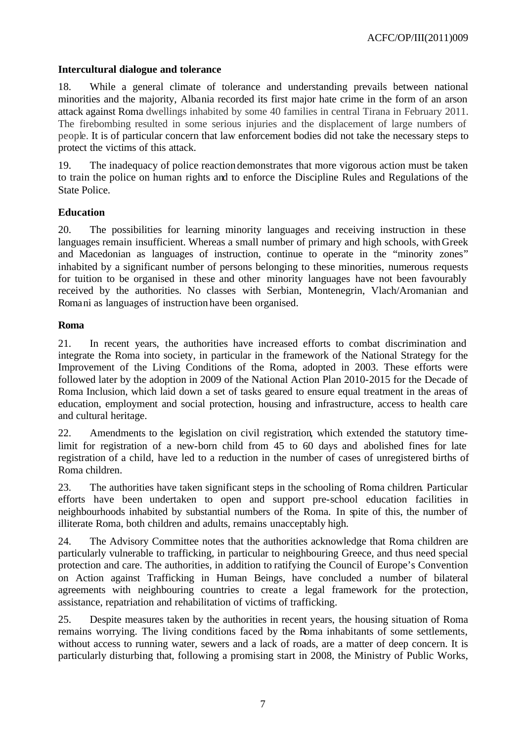### **Intercultural dialogue and tolerance**

18. While a general climate of tolerance and understanding prevails between national minorities and the majority, Albania recorded its first major hate crime in the form of an arson attack against Roma dwellings inhabited by some 40 families in central Tirana in February 2011. The firebombing resulted in some serious injuries and the displacement of large numbers of people. It is of particular concern that law enforcement bodies did not take the necessary steps to protect the victims of this attack.

19. The inadequacy of police reaction demonstrates that more vigorous action must be taken to train the police on human rights and to enforce the Discipline Rules and Regulations of the State Police.

### **Education**

20. The possibilities for learning minority languages and receiving instruction in these languages remain insufficient. Whereas a small number of primary and high schools, withGreek and Macedonian as languages of instruction, continue to operate in the "minority zones" inhabited by a significant number of persons belonging to these minorities, numerous requests for tuition to be organised in these and other minority languages have not been favourably received by the authorities. No classes with Serbian, Montenegrin, Vlach/Aromanian and Romani as languages of instruction have been organised.

#### **Roma**

21. In recent years, the authorities have increased efforts to combat discrimination and integrate the Roma into society, in particular in the framework of the National Strategy for the Improvement of the Living Conditions of the Roma, adopted in 2003. These efforts were followed later by the adoption in 2009 of the National Action Plan 2010-2015 for the Decade of Roma Inclusion, which laid down a set of tasks geared to ensure equal treatment in the areas of education, employment and social protection, housing and infrastructure, access to health care and cultural heritage.

22. Amendments to the legislation on civil registration, which extended the statutory timelimit for registration of a new-born child from 45 to 60 days and abolished fines for late registration of a child, have led to a reduction in the number of cases of unregistered births of Roma children.

23. The authorities have taken significant steps in the schooling of Roma children. Particular efforts have been undertaken to open and support pre-school education facilities in neighbourhoods inhabited by substantial numbers of the Roma. In spite of this, the number of illiterate Roma, both children and adults, remains unacceptably high.

24. The Advisory Committee notes that the authorities acknowledge that Roma children are particularly vulnerable to trafficking, in particular to neighbouring Greece, and thus need special protection and care. The authorities, in addition to ratifying the Council of Europe's Convention on Action against Trafficking in Human Beings, have concluded a number of bilateral agreements with neighbouring countries to create a legal framework for the protection, assistance, repatriation and rehabilitation of victims of trafficking.

25. Despite measures taken by the authorities in recent years, the housing situation of Roma remains worrying. The living conditions faced by the Roma inhabitants of some settlements, without access to running water, sewers and a lack of roads, are a matter of deep concern. It is particularly disturbing that, following a promising start in 2008, the Ministry of Public Works,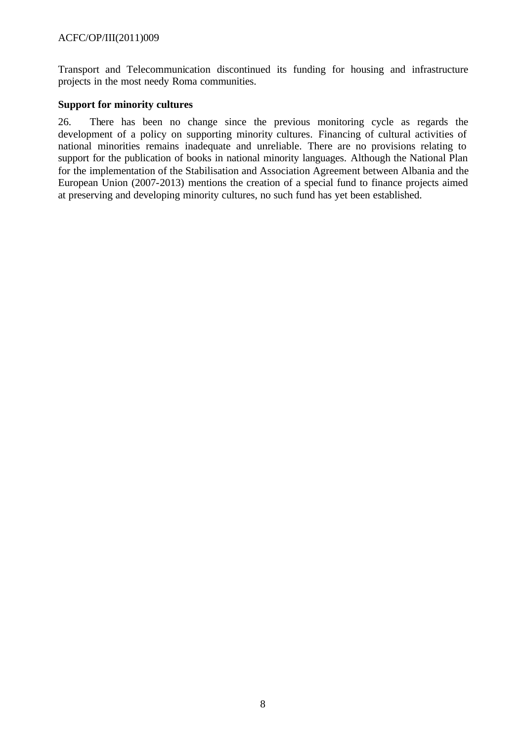Transport and Telecommunication discontinued its funding for housing and infrastructure projects in the most needy Roma communities.

#### **Support for minority cultures**

26. There has been no change since the previous monitoring cycle as regards the development of a policy on supporting minority cultures. Financing of cultural activities of national minorities remains inadequate and unreliable. There are no provisions relating to support for the publication of books in national minority languages. Although the National Plan for the implementation of the Stabilisation and Association Agreement between Albania and the European Union (2007-2013) mentions the creation of a special fund to finance projects aimed at preserving and developing minority cultures, no such fund has yet been established.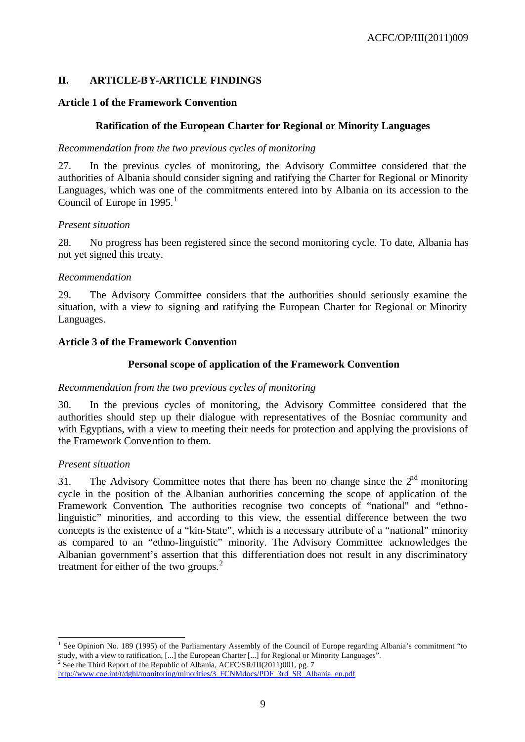# **II. ARTICLE-BY-ARTICLE FINDINGS**

### **Article 1 of the Framework Convention**

# **Ratification of the European Charter for Regional or Minority Languages**

### *Recommendation from the two previous cycles of monitoring*

27. In the previous cycles of monitoring, the Advisory Committee considered that the authorities of Albania should consider signing and ratifying the Charter for Regional or Minority Languages, which was one of the commitments entered into by Albania on its accession to the Council of Europe in  $1995.<sup>1</sup>$ 

### *Present situation*

28. No progress has been registered since the second monitoring cycle. To date, Albania has not yet signed this treaty.

### *Recommendation*

29. The Advisory Committee considers that the authorities should seriously examine the situation, with a view to signing and ratifying the European Charter for Regional or Minority Languages.

# **Article 3 of the Framework Convention**

# **Personal scope of application of the Framework Convention**

### *Recommendation from the two previous cycles of monitoring*

30. In the previous cycles of monitoring, the Advisory Committee considered that the authorities should step up their dialogue with representatives of the Bosniac community and with Egyptians, with a view to meeting their needs for protection and applying the provisions of the Framework Convention to them.

### *Present situation*

31. The Advisory Committee notes that there has been no change since the  $2<sup>nd</sup>$  monitoring cycle in the position of the Albanian authorities concerning the scope of application of the Framework Convention. The authorities recognise two concepts of "national" and "ethnolinguistic" minorities, and according to this view, the essential difference between the two concepts is the existence of a "kin-State", which is a necessary attribute of a "national" minority as compared to an "ethno-linguistic" minority. The Advisory Committee acknowledges the Albanian government's assertion that this differentiation does not result in any discriminatory treatment for either of the two groups. $<sup>2</sup>$ </sup>

http://www.coe.int/t/dghl/monitoring/minorities/3\_FCNMdocs/PDF\_3rd\_SR\_Albania\_en.pdf

l <sup>1</sup> See Opinion No. 189 (1995) of the Parliamentary Assembly of the Council of Europe regarding Albania's commitment "to study, with a view to ratification, [...] the European Charter [...] for Regional or Minority Languages". <sup>2</sup> See the Third Report of the Republic of Albania, ACFC/SR/III(2011)001, pg. 7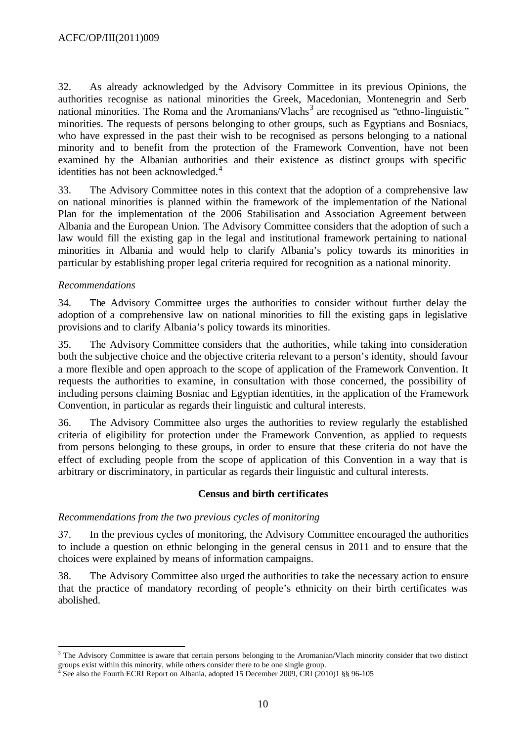32. As already acknowledged by the Advisory Committee in its previous Opinions, the authorities recognise as national minorities the Greek, Macedonian, Montenegrin and Serb national minorities. The Roma and the Aromanians/Vlachs<sup>3</sup> are recognised as "ethno-linguistic" minorities. The requests of persons belonging to other groups, such as Egyptians and Bosniacs, who have expressed in the past their wish to be recognised as persons belonging to a national minority and to benefit from the protection of the Framework Convention, have not been examined by the Albanian authorities and their existence as distinct groups with specific identities has not been acknowledged.<sup>4</sup>

33. The Advisory Committee notes in this context that the adoption of a comprehensive law on national minorities is planned within the framework of the implementation of the National Plan for the implementation of the 2006 Stabilisation and Association Agreement between Albania and the European Union. The Advisory Committee considers that the adoption of such a law would fill the existing gap in the legal and institutional framework pertaining to national minorities in Albania and would help to clarify Albania's policy towards its minorities in particular by establishing proper legal criteria required for recognition as a national minority.

### *Recommendations*

34. The Advisory Committee urges the authorities to consider without further delay the adoption of a comprehensive law on national minorities to fill the existing gaps in legislative provisions and to clarify Albania's policy towards its minorities.

35. The Advisory Committee considers that the authorities, while taking into consideration both the subjective choice and the objective criteria relevant to a person's identity, should favour a more flexible and open approach to the scope of application of the Framework Convention. It requests the authorities to examine, in consultation with those concerned, the possibility of including persons claiming Bosniac and Egyptian identities, in the application of the Framework Convention, in particular as regards their linguistic and cultural interests.

36. The Advisory Committee also urges the authorities to review regularly the established criteria of eligibility for protection under the Framework Convention, as applied to requests from persons belonging to these groups, in order to ensure that these criteria do not have the effect of excluding people from the scope of application of this Convention in a way that is arbitrary or discriminatory, in particular as regards their linguistic and cultural interests.

### **Census and birth certificates**

### *Recommendations from the two previous cycles of monitoring*

37. In the previous cycles of monitoring, the Advisory Committee encouraged the authorities to include a question on ethnic belonging in the general census in 2011 and to ensure that the choices were explained by means of information campaigns.

38. The Advisory Committee also urged the authorities to take the necessary action to ensure that the practice of mandatory recording of people's ethnicity on their birth certificates was abolished.

l <sup>3</sup> The Advisory Committee is aware that certain persons belonging to the Aromanian/Vlach minority consider that two distinct groups exist within this minority, while others consider there to be one single group.<br><sup>4</sup> See also the Fourth ECPI Penort on Albania, adopted 15 December 2009, CPI (20)

See also the Fourth ECRI Report on Albania, adopted 15 December 2009, CRI (2010)1 §§ 96-105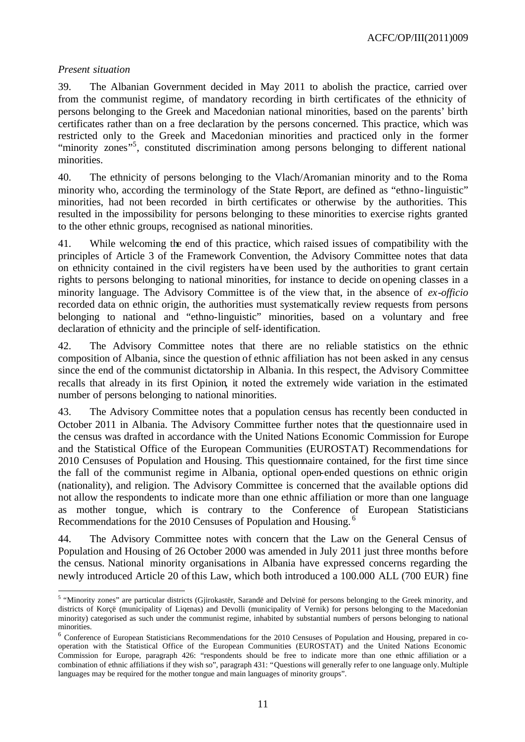#### *Present situation*

39. The Albanian Government decided in May 2011 to abolish the practice, carried over from the communist regime, of mandatory recording in birth certificates of the ethnicity of persons belonging to the Greek and Macedonian national minorities, based on the parents' birth certificates rather than on a free declaration by the persons concerned. This practice, which was restricted only to the Greek and Macedonian minorities and practiced only in the former "minority zones"<sup>5</sup>, constituted discrimination among persons belonging to different national minorities.

40. The ethnicity of persons belonging to the Vlach/Aromanian minority and to the Roma minority who, according the terminology of the State Report, are defined as "ethno-linguistic" minorities, had not been recorded in birth certificates or otherwise by the authorities. This resulted in the impossibility for persons belonging to these minorities to exercise rights granted to the other ethnic groups, recognised as national minorities.

41. While welcoming the end of this practice, which raised issues of compatibility with the principles of Article 3 of the Framework Convention, the Advisory Committee notes that data on ethnicity contained in the civil registers have been used by the authorities to grant certain rights to persons belonging to national minorities, for instance to decide on opening classes in a minority language. The Advisory Committee is of the view that, in the absence of *ex-officio* recorded data on ethnic origin, the authorities must systematically review requests from persons belonging to national and "ethno-linguistic" minorities, based on a voluntary and free declaration of ethnicity and the principle of self-identification.

42. The Advisory Committee notes that there are no reliable statistics on the ethnic composition of Albania, since the question of ethnic affiliation has not been asked in any census since the end of the communist dictatorship in Albania. In this respect, the Advisory Committee recalls that already in its first Opinion, it noted the extremely wide variation in the estimated number of persons belonging to national minorities.

43. The Advisory Committee notes that a population census has recently been conducted in October 2011 in Albania. The Advisory Committee further notes that the questionnaire used in the census was drafted in accordance with the United Nations Economic Commission for Europe and the Statistical Office of the European Communities (EUROSTAT) Recommendations for 2010 Censuses of Population and Housing. This questionnaire contained, for the first time since the fall of the communist regime in Albania, optional open-ended questions on ethnic origin (nationality), and religion. The Advisory Committee is concerned that the available options did not allow the respondents to indicate more than one ethnic affiliation or more than one language as mother tongue, which is contrary to the Conference of European Statisticians Recommendations for the 2010 Censuses of Population and Housing. <sup>6</sup>

44. The Advisory Committee notes with concern that the Law on the General Census of Population and Housing of 26 October 2000 was amended in July 2011 just three months before the census. National minority organisations in Albania have expressed concerns regarding the newly introduced Article 20 of this Law, which both introduced a 100.000 ALL (700 EUR) fine

<sup>&</sup>lt;sup>5</sup> "Minority zones" are particular districts (Gjirokastër, Sarandë and Delvinë for persons belonging to the Greek minority, and districts of Korçë (municipality of Liqenas) and Devolli (municipality of Vernik) for persons belonging to the Macedonian minority) categorised as such under the communist regime, inhabited by substantial numbers of persons belonging to national minorities.

<sup>&</sup>lt;sup>6</sup> Conference of European Statisticians Recommendations for the 2010 Censuses of Population and Housing, prepared in cooperation with the Statistical Office of the European Communities (EUROSTAT) and the United Nations Economic Commission for Europe, paragraph 426: "respondents should be free to indicate more than one ethnic affiliation or a combination of ethnic affiliations if they wish so", paragraph 431: "Questions will generally refer to one language only. Multiple languages may be required for the mother tongue and main languages of minority groups".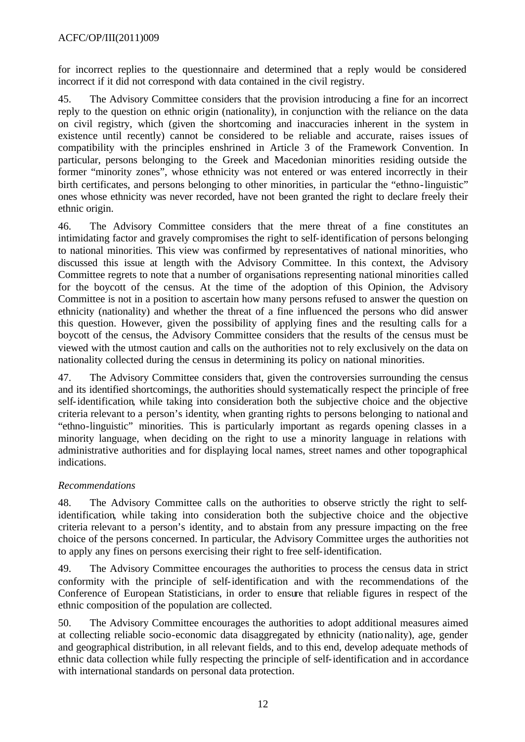for incorrect replies to the questionnaire and determined that a reply would be considered incorrect if it did not correspond with data contained in the civil registry.

45. The Advisory Committee considers that the provision introducing a fine for an incorrect reply to the question on ethnic origin (nationality), in conjunction with the reliance on the data on civil registry, which (given the shortcoming and inaccuracies inherent in the system in existence until recently) cannot be considered to be reliable and accurate, raises issues of compatibility with the principles enshrined in Article 3 of the Framework Convention. In particular, persons belonging to the Greek and Macedonian minorities residing outside the former "minority zones", whose ethnicity was not entered or was entered incorrectly in their birth certificates, and persons belonging to other minorities, in particular the "ethno-linguistic" ones whose ethnicity was never recorded, have not been granted the right to declare freely their ethnic origin.

46. The Advisory Committee considers that the mere threat of a fine constitutes an intimidating factor and gravely compromises the right to self-identification of persons belonging to national minorities. This view was confirmed by representatives of national minorities, who discussed this issue at length with the Advisory Committee. In this context, the Advisory Committee regrets to note that a number of organisations representing national minorities called for the boycott of the census. At the time of the adoption of this Opinion, the Advisory Committee is not in a position to ascertain how many persons refused to answer the question on ethnicity (nationality) and whether the threat of a fine influenced the persons who did answer this question. However, given the possibility of applying fines and the resulting calls for a boycott of the census, the Advisory Committee considers that the results of the census must be viewed with the utmost caution and calls on the authorities not to rely exclusively on the data on nationality collected during the census in determining its policy on national minorities.

47. The Advisory Committee considers that, given the controversies surrounding the census and its identified shortcomings, the authorities should systematically respect the principle of free self-identification, while taking into consideration both the subjective choice and the objective criteria relevant to a person's identity, when granting rights to persons belonging to national and "ethno-linguistic" minorities. This is particularly important as regards opening classes in a minority language, when deciding on the right to use a minority language in relations with administrative authorities and for displaying local names, street names and other topographical indications.

# *Recommendations*

48. The Advisory Committee calls on the authorities to observe strictly the right to selfidentification, while taking into consideration both the subjective choice and the objective criteria relevant to a person's identity, and to abstain from any pressure impacting on the free choice of the persons concerned. In particular, the Advisory Committee urges the authorities not to apply any fines on persons exercising their right to free self-identification.

49. The Advisory Committee encourages the authorities to process the census data in strict conformity with the principle of self-identification and with the recommendations of the Conference of European Statisticians, in order to ensure that reliable figures in respect of the ethnic composition of the population are collected.

50. The Advisory Committee encourages the authorities to adopt additional measures aimed at collecting reliable socio-economic data disaggregated by ethnicity (nationality), age, gender and geographical distribution, in all relevant fields, and to this end, develop adequate methods of ethnic data collection while fully respecting the principle of self-identification and in accordance with international standards on personal data protection.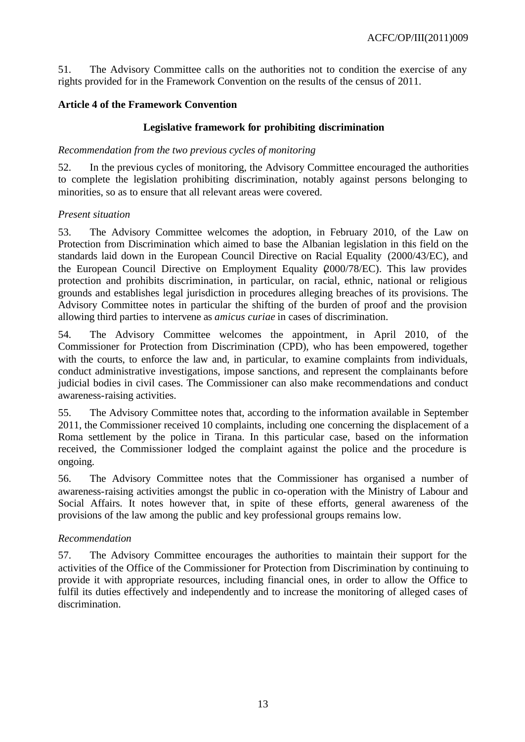51. The Advisory Committee calls on the authorities not to condition the exercise of any rights provided for in the Framework Convention on the results of the census of 2011.

# **Article 4 of the Framework Convention**

# **Legislative framework for prohibiting discrimination**

#### *Recommendation from the two previous cycles of monitoring*

52. In the previous cycles of monitoring, the Advisory Committee encouraged the authorities to complete the legislation prohibiting discrimination, notably against persons belonging to minorities, so as to ensure that all relevant areas were covered.

#### *Present situation*

53. The Advisory Committee welcomes the adoption, in February 2010, of the Law on Protection from Discrimination which aimed to base the Albanian legislation in this field on the standards laid down in the European Council Directive on Racial Equality (2000/43/EC), and the European Council Directive on Employment Equality (2000/78/EC). This law provides protection and prohibits discrimination, in particular, on racial, ethnic, national or religious grounds and establishes legal jurisdiction in procedures alleging breaches of its provisions. The Advisory Committee notes in particular the shifting of the burden of proof and the provision allowing third parties to intervene as *amicus curiae* in cases of discrimination.

54. The Advisory Committee welcomes the appointment, in April 2010, of the Commissioner for Protection from Discrimination (CPD), who has been empowered, together with the courts, to enforce the law and, in particular, to examine complaints from individuals, conduct administrative investigations, impose sanctions, and represent the complainants before judicial bodies in civil cases. The Commissioner can also make recommendations and conduct awareness-raising activities.

55. The Advisory Committee notes that, according to the information available in September 2011, the Commissioner received 10 complaints, including one concerning the displacement of a Roma settlement by the police in Tirana. In this particular case, based on the information received, the Commissioner lodged the complaint against the police and the procedure is ongoing.

56. The Advisory Committee notes that the Commissioner has organised a number of awareness-raising activities amongst the public in co-operation with the Ministry of Labour and Social Affairs. It notes however that, in spite of these efforts, general awareness of the provisions of the law among the public and key professional groups remains low.

### *Recommendation*

57. The Advisory Committee encourages the authorities to maintain their support for the activities of the Office of the Commissioner for Protection from Discrimination by continuing to provide it with appropriate resources, including financial ones, in order to allow the Office to fulfil its duties effectively and independently and to increase the monitoring of alleged cases of discrimination.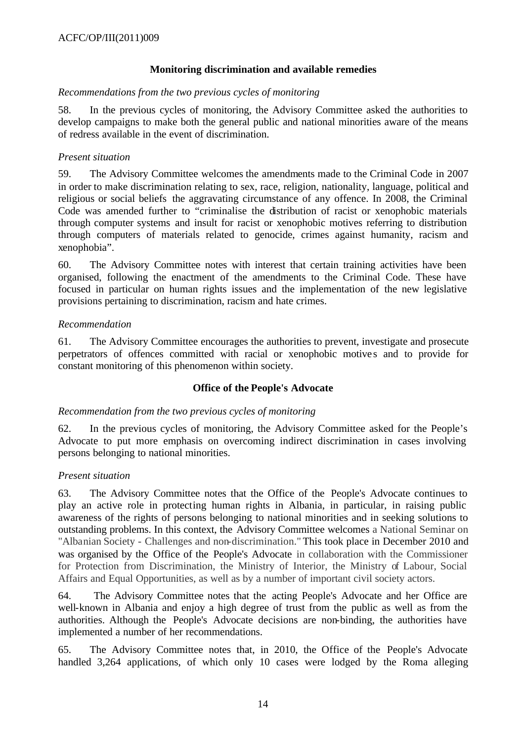# **Monitoring discrimination and available remedies**

#### *Recommendations from the two previous cycles of monitoring*

58. In the previous cycles of monitoring, the Advisory Committee asked the authorities to develop campaigns to make both the general public and national minorities aware of the means of redress available in the event of discrimination.

### *Present situation*

59. The Advisory Committee welcomes the amendments made to the Criminal Code in 2007 in order to make discrimination relating to sex, race, religion, nationality, language, political and religious or social beliefs the aggravating circumstance of any offence. In 2008, the Criminal Code was amended further to "criminalise the distribution of racist or xenophobic materials through computer systems and insult for racist or xenophobic motives referring to distribution through computers of materials related to genocide, crimes against humanity, racism and xenophobia".

60. The Advisory Committee notes with interest that certain training activities have been organised, following the enactment of the amendments to the Criminal Code. These have focused in particular on human rights issues and the implementation of the new legislative provisions pertaining to discrimination, racism and hate crimes.

#### *Recommendation*

61. The Advisory Committee encourages the authorities to prevent, investigate and prosecute perpetrators of offences committed with racial or xenophobic motives and to provide for constant monitoring of this phenomenon within society.

### **Office of the People's Advocate**

### *Recommendation from the two previous cycles of monitoring*

62. In the previous cycles of monitoring, the Advisory Committee asked for the People's Advocate to put more emphasis on overcoming indirect discrimination in cases involving persons belonging to national minorities.

#### *Present situation*

63. The Advisory Committee notes that the Office of the People's Advocate continues to play an active role in protecting human rights in Albania, in particular, in raising public awareness of the rights of persons belonging to national minorities and in seeking solutions to outstanding problems. In this context, the Advisory Committee welcomes a National Seminar on "Albanian Society - Challenges and non-discrimination." This took place in December 2010 and was organised by the Office of the People's Advocate in collaboration with the Commissioner for Protection from Discrimination, the Ministry of Interior, the Ministry of Labour, Social Affairs and Equal Opportunities, as well as by a number of important civil society actors.

64. The Advisory Committee notes that the acting People's Advocate and her Office are well-known in Albania and enjoy a high degree of trust from the public as well as from the authorities. Although the People's Advocate decisions are non-binding, the authorities have implemented a number of her recommendations.

65. The Advisory Committee notes that, in 2010, the Office of the People's Advocate handled 3,264 applications, of which only 10 cases were lodged by the Roma alleging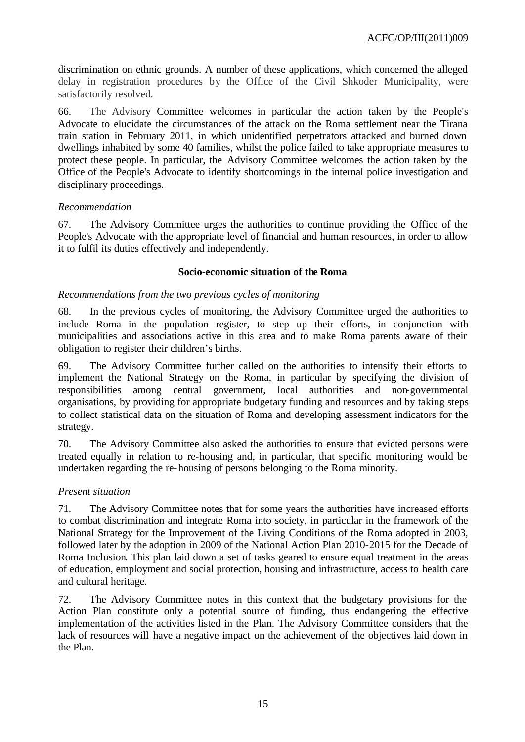discrimination on ethnic grounds. A number of these applications, which concerned the alleged delay in registration procedures by the Office of the Civil Shkoder Municipality, were satisfactorily resolved.

66. The Advisory Committee welcomes in particular the action taken by the People's Advocate to elucidate the circumstances of the attack on the Roma settlement near the Tirana train station in February 2011, in which unidentified perpetrators attacked and burned down dwellings inhabited by some 40 families, whilst the police failed to take appropriate measures to protect these people. In particular, the Advisory Committee welcomes the action taken by the Office of the People's Advocate to identify shortcomings in the internal police investigation and disciplinary proceedings.

### *Recommendation*

67. The Advisory Committee urges the authorities to continue providing the Office of the People's Advocate with the appropriate level of financial and human resources, in order to allow it to fulfil its duties effectively and independently.

#### **Socio-economic situation of the Roma**

#### *Recommendations from the two previous cycles of monitoring*

68. In the previous cycles of monitoring, the Advisory Committee urged the authorities to include Roma in the population register, to step up their efforts, in conjunction with municipalities and associations active in this area and to make Roma parents aware of their obligation to register their children's births.

69. The Advisory Committee further called on the authorities to intensify their efforts to implement the National Strategy on the Roma, in particular by specifying the division of responsibilities among central government, local authorities and non-governmental organisations, by providing for appropriate budgetary funding and resources and by taking steps to collect statistical data on the situation of Roma and developing assessment indicators for the strategy.

70. The Advisory Committee also asked the authorities to ensure that evicted persons were treated equally in relation to re-housing and, in particular, that specific monitoring would be undertaken regarding the re-housing of persons belonging to the Roma minority.

### *Present situation*

71. The Advisory Committee notes that for some years the authorities have increased efforts to combat discrimination and integrate Roma into society, in particular in the framework of the National Strategy for the Improvement of the Living Conditions of the Roma adopted in 2003, followed later by the adoption in 2009 of the National Action Plan 2010-2015 for the Decade of Roma Inclusion. This plan laid down a set of tasks geared to ensure equal treatment in the areas of education, employment and social protection, housing and infrastructure, access to health care and cultural heritage.

72. The Advisory Committee notes in this context that the budgetary provisions for the Action Plan constitute only a potential source of funding, thus endangering the effective implementation of the activities listed in the Plan. The Advisory Committee considers that the lack of resources will have a negative impact on the achievement of the objectives laid down in the Plan.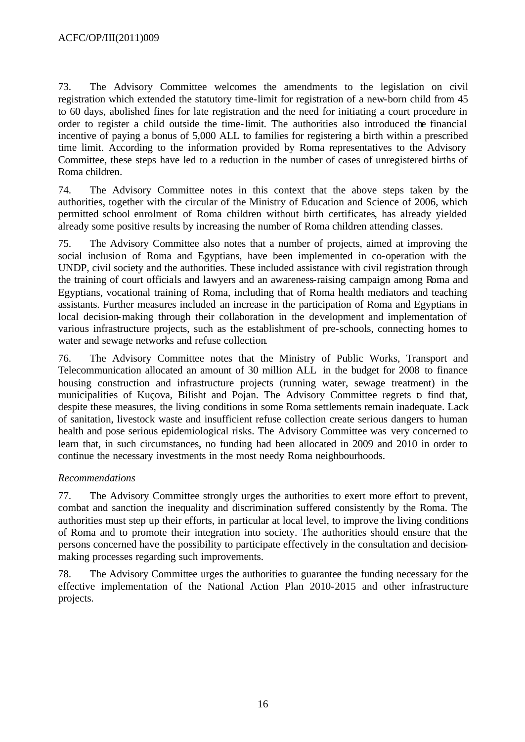73. The Advisory Committee welcomes the amendments to the legislation on civil registration which extended the statutory time-limit for registration of a new-born child from 45 to 60 days, abolished fines for late registration and the need for initiating a court procedure in order to register a child outside the time-limit. The authorities also introduced the financial incentive of paying a bonus of 5,000 ALL to families for registering a birth within a prescribed time limit. According to the information provided by Roma representatives to the Advisory Committee, these steps have led to a reduction in the number of cases of unregistered births of Roma children.

74. The Advisory Committee notes in this context that the above steps taken by the authorities, together with the circular of the Ministry of Education and Science of 2006, which permitted school enrolment of Roma children without birth certificates, has already yielded already some positive results by increasing the number of Roma children attending classes.

75. The Advisory Committee also notes that a number of projects, aimed at improving the social inclusion of Roma and Egyptians, have been implemented in co-operation with the UNDP, civil society and the authorities. These included assistance with civil registration through the training of court officials and lawyers and an awareness-raising campaign among Roma and Egyptians, vocational training of Roma, including that of Roma health mediators and teaching assistants. Further measures included an increase in the participation of Roma and Egyptians in local decision-making through their collaboration in the development and implementation of various infrastructure projects, such as the establishment of pre-schools, connecting homes to water and sewage networks and refuse collection.

76. The Advisory Committee notes that the Ministry of Public Works, Transport and Telecommunication allocated an amount of 30 million ALL in the budget for 2008 to finance housing construction and infrastructure projects (running water, sewage treatment) in the municipalities of Kuçova, Bilisht and Pojan. The Advisory Committee regrets to find that, despite these measures, the living conditions in some Roma settlements remain inadequate. Lack of sanitation, livestock waste and insufficient refuse collection create serious dangers to human health and pose serious epidemiological risks. The Advisory Committee was very concerned to learn that, in such circumstances, no funding had been allocated in 2009 and 2010 in order to continue the necessary investments in the most needy Roma neighbourhoods.

### *Recommendations*

77. The Advisory Committee strongly urges the authorities to exert more effort to prevent, combat and sanction the inequality and discrimination suffered consistently by the Roma. The authorities must step up their efforts, in particular at local level, to improve the living conditions of Roma and to promote their integration into society. The authorities should ensure that the persons concerned have the possibility to participate effectively in the consultation and decisionmaking processes regarding such improvements.

78. The Advisory Committee urges the authorities to guarantee the funding necessary for the effective implementation of the National Action Plan 2010-2015 and other infrastructure projects.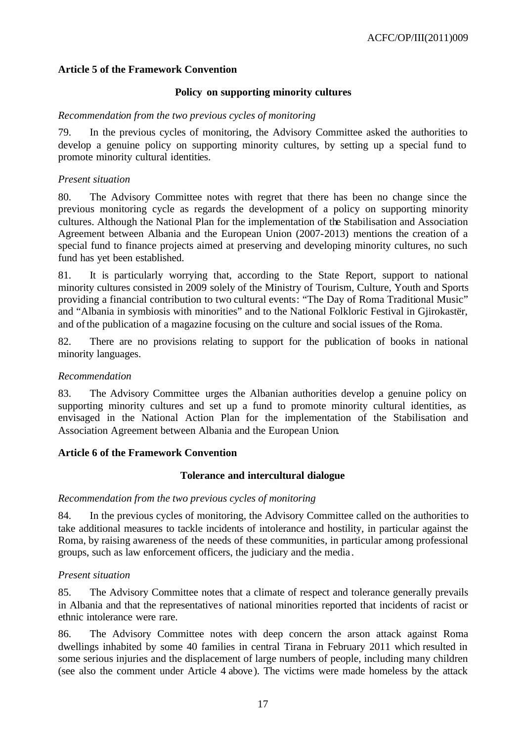# **Article 5 of the Framework Convention**

### **Policy on supporting minority cultures**

#### *Recommendation from the two previous cycles of monitoring*

79. In the previous cycles of monitoring, the Advisory Committee asked the authorities to develop a genuine policy on supporting minority cultures, by setting up a special fund to promote minority cultural identities.

### *Present situation*

80. The Advisory Committee notes with regret that there has been no change since the previous monitoring cycle as regards the development of a policy on supporting minority cultures. Although the National Plan for the implementation of the Stabilisation and Association Agreement between Albania and the European Union (2007-2013) mentions the creation of a special fund to finance projects aimed at preserving and developing minority cultures, no such fund has yet been established.

81. It is particularly worrying that, according to the State Report, support to national minority cultures consisted in 2009 solely of the Ministry of Tourism, Culture, Youth and Sports providing a financial contribution to two cultural events: "The Day of Roma Traditional Music" and "Albania in symbiosis with minorities" and to the National Folkloric Festival in Gjirokastër, and of the publication of a magazine focusing on the culture and social issues of the Roma.

82. There are no provisions relating to support for the publication of books in national minority languages.

#### *Recommendation*

83. The Advisory Committee urges the Albanian authorities develop a genuine policy on supporting minority cultures and set up a fund to promote minority cultural identities, as envisaged in the National Action Plan for the implementation of the Stabilisation and Association Agreement between Albania and the European Union.

### **Article 6 of the Framework Convention**

### **Tolerance and intercultural dialogue**

#### *Recommendation from the two previous cycles of monitoring*

84. In the previous cycles of monitoring, the Advisory Committee called on the authorities to take additional measures to tackle incidents of intolerance and hostility, in particular against the Roma, by raising awareness of the needs of these communities, in particular among professional groups, such as law enforcement officers, the judiciary and the media .

### *Present situation*

85. The Advisory Committee notes that a climate of respect and tolerance generally prevails in Albania and that the representatives of national minorities reported that incidents of racist or ethnic intolerance were rare.

86. The Advisory Committee notes with deep concern the arson attack against Roma dwellings inhabited by some 40 families in central Tirana in February 2011 which resulted in some serious injuries and the displacement of large numbers of people, including many children (see also the comment under Article 4 above). The victims were made homeless by the attack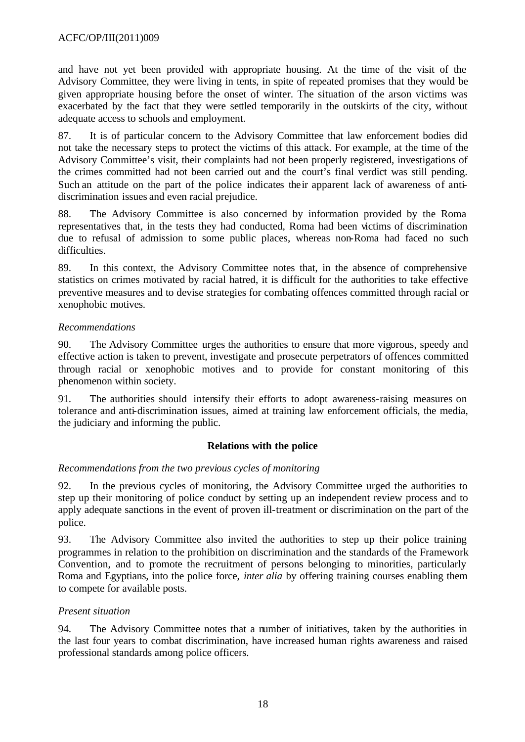and have not yet been provided with appropriate housing. At the time of the visit of the Advisory Committee, they were living in tents, in spite of repeated promises that they would be given appropriate housing before the onset of winter. The situation of the arson victims was exacerbated by the fact that they were settled temporarily in the outskirts of the city, without adequate access to schools and employment.

87. It is of particular concern to the Advisory Committee that law enforcement bodies did not take the necessary steps to protect the victims of this attack. For example, at the time of the Advisory Committee's visit, their complaints had not been properly registered, investigations of the crimes committed had not been carried out and the court's final verdict was still pending. Such an attitude on the part of the police indicates their apparent lack of awareness of antidiscrimination issues and even racial prejudice.

88. The Advisory Committee is also concerned by information provided by the Roma representatives that, in the tests they had conducted, Roma had been victims of discrimination due to refusal of admission to some public places, whereas non-Roma had faced no such difficulties.

89. In this context, the Advisory Committee notes that, in the absence of comprehensive statistics on crimes motivated by racial hatred, it is difficult for the authorities to take effective preventive measures and to devise strategies for combating offences committed through racial or xenophobic motives.

# *Recommendations*

90. The Advisory Committee urges the authorities to ensure that more vigorous, speedy and effective action is taken to prevent, investigate and prosecute perpetrators of offences committed through racial or xenophobic motives and to provide for constant monitoring of this phenomenon within society.

91. The authorities should intensify their efforts to adopt awareness-raising measures on tolerance and anti-discrimination issues, aimed at training law enforcement officials, the media, the judiciary and informing the public.

### **Relations with the police**

### *Recommendations from the two previous cycles of monitoring*

92. In the previous cycles of monitoring, the Advisory Committee urged the authorities to step up their monitoring of police conduct by setting up an independent review process and to apply adequate sanctions in the event of proven ill-treatment or discrimination on the part of the police.

93. The Advisory Committee also invited the authorities to step up their police training programmes in relation to the prohibition on discrimination and the standards of the Framework Convention, and to promote the recruitment of persons belonging to minorities, particularly Roma and Egyptians, into the police force, *inter alia* by offering training courses enabling them to compete for available posts.

### *Present situation*

94. The Advisory Committee notes that a number of initiatives, taken by the authorities in the last four years to combat discrimination, have increased human rights awareness and raised professional standards among police officers.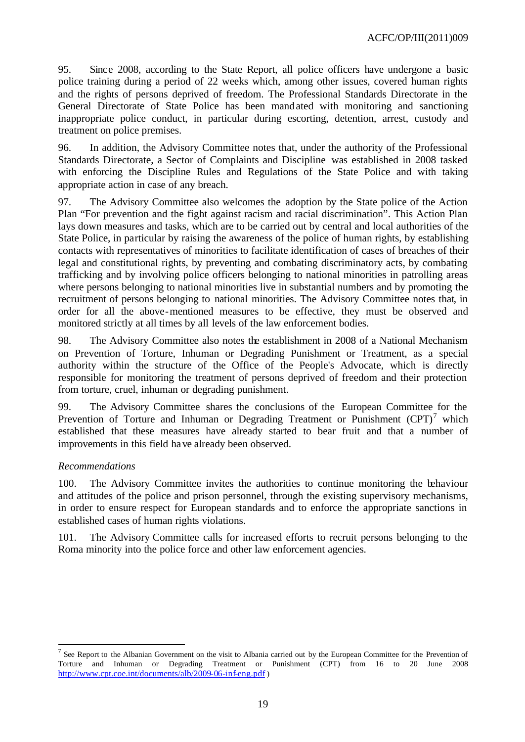95. Since 2008, according to the State Report, all police officers have undergone a basic police training during a period of 22 weeks which, among other issues, covered human rights and the rights of persons deprived of freedom. The Professional Standards Directorate in the General Directorate of State Police has been mandated with monitoring and sanctioning inappropriate police conduct, in particular during escorting, detention, arrest, custody and treatment on police premises.

96. In addition, the Advisory Committee notes that, under the authority of the Professional Standards Directorate, a Sector of Complaints and Discipline was established in 2008 tasked with enforcing the Discipline Rules and Regulations of the State Police and with taking appropriate action in case of any breach.

97. The Advisory Committee also welcomes the adoption by the State police of the Action Plan "For prevention and the fight against racism and racial discrimination". This Action Plan lays down measures and tasks, which are to be carried out by central and local authorities of the State Police, in particular by raising the awareness of the police of human rights, by establishing contacts with representatives of minorities to facilitate identification of cases of breaches of their legal and constitutional rights, by preventing and combating discriminatory acts, by combating trafficking and by involving police officers belonging to national minorities in patrolling areas where persons belonging to national minorities live in substantial numbers and by promoting the recruitment of persons belonging to national minorities. The Advisory Committee notes that, in order for all the above-mentioned measures to be effective, they must be observed and monitored strictly at all times by all levels of the law enforcement bodies.

98. The Advisory Committee also notes the establishment in 2008 of a National Mechanism on Prevention of Torture, Inhuman or Degrading Punishment or Treatment, as a special authority within the structure of the Office of the People's Advocate, which is directly responsible for monitoring the treatment of persons deprived of freedom and their protection from torture, cruel, inhuman or degrading punishment.

99. The Advisory Committee shares the conclusions of the European Committee for the Prevention of Torture and Inhuman or Degrading Treatment or Punishment  $(CPT)^7$  which established that these measures have already started to bear fruit and that a number of improvements in this field have already been observed.

### *Recommendations*

l

100. The Advisory Committee invites the authorities to continue monitoring the behaviour and attitudes of the police and prison personnel, through the existing supervisory mechanisms, in order to ensure respect for European standards and to enforce the appropriate sanctions in established cases of human rights violations.

101. The Advisory Committee calls for increased efforts to recruit persons belonging to the Roma minority into the police force and other law enforcement agencies.

<sup>&</sup>lt;sup>7</sup> See Report to the Albanian Government on the visit to Albania carried out by the European Committee for the Prevention of Torture and Inhuman or Degrading Treatment or Punishment (CPT) from 16 to 20 June 2008 http://www.cpt.coe.int/documents/alb/2009-06-inf-eng.pdf )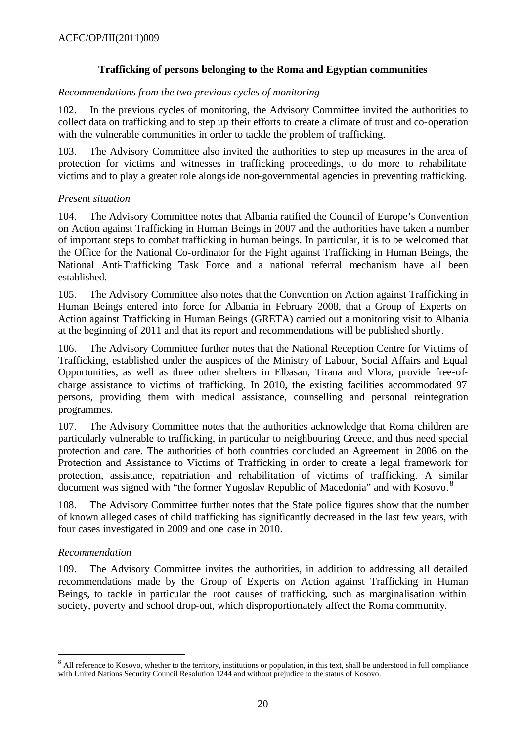# **Trafficking of persons belonging to the Roma and Egyptian communities**

#### *Recommendations from the two previous cycles of monitoring*

102. In the previous cycles of monitoring, the Advisory Committee invited the authorities to collect data on trafficking and to step up their efforts to create a climate of trust and co-operation with the vulnerable communities in order to tackle the problem of trafficking.

103. The Advisory Committee also invited the authorities to step up measures in the area of protection for victims and witnesses in trafficking proceedings, to do more to rehabilitate victims and to play a greater role alongside non-governmental agencies in preventing trafficking.

### *Present situation*

104. The Advisory Committee notes that Albania ratified the Council of Europe's Convention on Action against Trafficking in Human Beings in 2007 and the authorities have taken a number of important steps to combat trafficking in human beings. In particular, it is to be welcomed that the Office for the National Co-ordinator for the Fight against Trafficking in Human Beings, the National Anti-Trafficking Task Force and a national referral mechanism have all been established.

105. The Advisory Committee also notes that the Convention on Action against Trafficking in Human Beings entered into force for Albania in February 2008, that a Group of Experts on Action against Trafficking in Human Beings (GRETA) carried out a monitoring visit to Albania at the beginning of 2011 and that its report and recommendations will be published shortly.

106. The Advisory Committee further notes that the National Reception Centre for Victims of Trafficking, established under the auspices of the Ministry of Labour, Social Affairs and Equal Opportunities, as well as three other shelters in Elbasan, Tirana and Vlora, provide free-ofcharge assistance to victims of trafficking. In 2010, the existing facilities accommodated 97 persons, providing them with medical assistance, counselling and personal reintegration programmes.

107. The Advisory Committee notes that the authorities acknowledge that Roma children are particularly vulnerable to trafficking, in particular to neighbouring Greece, and thus need special protection and care. The authorities of both countries concluded an Agreement in 2006 on the Protection and Assistance to Victims of Trafficking in order to create a legal framework for protection, assistance, repatriation and rehabilitation of victims of trafficking. A similar document was signed with "the former Yugoslav Republic of Macedonia" and with Kosovo.<sup>8</sup>

108. The Advisory Committee further notes that the State police figures show that the number of known alleged cases of child trafficking has significantly decreased in the last few years, with four cases investigated in 2009 and one case in 2010.

### *Recommendation*

l

109. The Advisory Committee invites the authorities, in addition to addressing all detailed recommendations made by the Group of Experts on Action against Trafficking in Human Beings, to tackle in particular the root causes of trafficking, such as marginalisation within society, poverty and school drop-out, which disproportionately affect the Roma community.

<sup>&</sup>lt;sup>8</sup> All reference to Kosovo, whether to the territory, institutions or population, in this text, shall be understood in full compliance with United Nations Security Council Resolution 1244 and without prejudice to the status of Kosovo.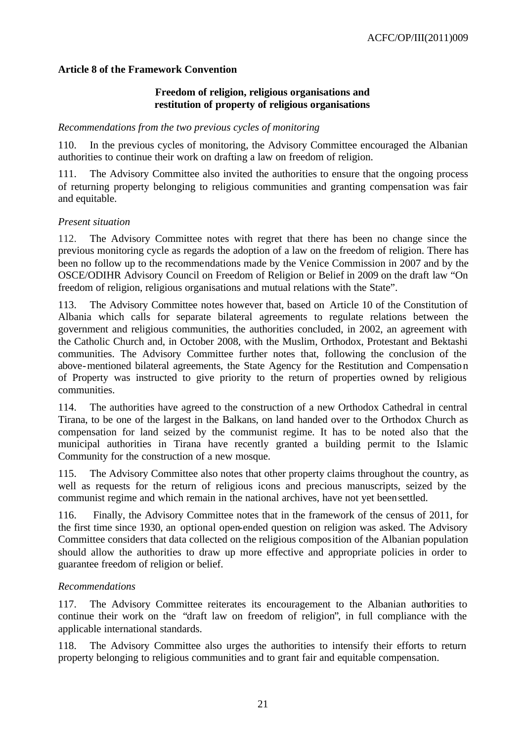#### **Article 8 of the Framework Convention**

#### **Freedom of religion, religious organisations and restitution of property of religious organisations**

#### *Recommendations from the two previous cycles of monitoring*

110. In the previous cycles of monitoring, the Advisory Committee encouraged the Albanian authorities to continue their work on drafting a law on freedom of religion.

111. The Advisory Committee also invited the authorities to ensure that the ongoing process of returning property belonging to religious communities and granting compensation was fair and equitable.

#### *Present situation*

112. The Advisory Committee notes with regret that there has been no change since the previous monitoring cycle as regards the adoption of a law on the freedom of religion. There has been no follow up to the recommendations made by the Venice Commission in 2007 and by the OSCE/ODIHR Advisory Council on Freedom of Religion or Belief in 2009 on the draft law "On freedom of religion, religious organisations and mutual relations with the State".

113. The Advisory Committee notes however that, based on Article 10 of the Constitution of Albania which calls for separate bilateral agreements to regulate relations between the government and religious communities, the authorities concluded, in 2002, an agreement with the Catholic Church and, in October 2008, with the Muslim, Orthodox, Protestant and Bektashi communities. The Advisory Committee further notes that, following the conclusion of the above-mentioned bilateral agreements, the State Agency for the Restitution and Compensation of Property was instructed to give priority to the return of properties owned by religious communities.

114. The authorities have agreed to the construction of a new Orthodox Cathedral in central Tirana, to be one of the largest in the Balkans, on land handed over to the Orthodox Church as compensation for land seized by the communist regime. It has to be noted also that the municipal authorities in Tirana have recently granted a building permit to the Islamic Community for the construction of a new mosque.

115. The Advisory Committee also notes that other property claims throughout the country, as well as requests for the return of religious icons and precious manuscripts, seized by the communist regime and which remain in the national archives, have not yet been settled.

116. Finally, the Advisory Committee notes that in the framework of the census of 2011, for the first time since 1930, an optional open-ended question on religion was asked. The Advisory Committee considers that data collected on the religious composition of the Albanian population should allow the authorities to draw up more effective and appropriate policies in order to guarantee freedom of religion or belief.

#### *Recommendations*

117. The Advisory Committee reiterates its encouragement to the Albanian authorities to continue their work on the "draft law on freedom of religion", in full compliance with the applicable international standards.

118. The Advisory Committee also urges the authorities to intensify their efforts to return property belonging to religious communities and to grant fair and equitable compensation.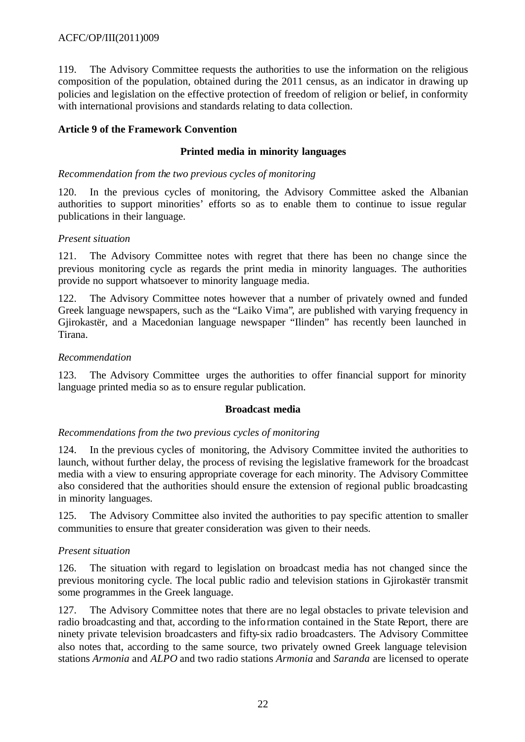119. The Advisory Committee requests the authorities to use the information on the religious composition of the population, obtained during the 2011 census, as an indicator in drawing up policies and legislation on the effective protection of freedom of religion or belief, in conformity with international provisions and standards relating to data collection.

# **Article 9 of the Framework Convention**

### **Printed media in minority languages**

#### *Recommendation from the two previous cycles of monitoring*

120. In the previous cycles of monitoring, the Advisory Committee asked the Albanian authorities to support minorities' efforts so as to enable them to continue to issue regular publications in their language.

#### *Present situation*

121. The Advisory Committee notes with regret that there has been no change since the previous monitoring cycle as regards the print media in minority languages. The authorities provide no support whatsoever to minority language media.

122. The Advisory Committee notes however that a number of privately owned and funded Greek language newspapers, such as the "Laiko Vima", are published with varying frequency in Gjirokastër, and a Macedonian language newspaper "Ilinden" has recently been launched in Tirana.

#### *Recommendation*

123. The Advisory Committee urges the authorities to offer financial support for minority language printed media so as to ensure regular publication.

#### **Broadcast media**

#### *Recommendations from the two previous cycles of monitoring*

124. In the previous cycles of monitoring, the Advisory Committee invited the authorities to launch, without further delay, the process of revising the legislative framework for the broadcast media with a view to ensuring appropriate coverage for each minority. The Advisory Committee also considered that the authorities should ensure the extension of regional public broadcasting in minority languages.

125. The Advisory Committee also invited the authorities to pay specific attention to smaller communities to ensure that greater consideration was given to their needs.

### *Present situation*

126. The situation with regard to legislation on broadcast media has not changed since the previous monitoring cycle. The local public radio and television stations in Gjirokastër transmit some programmes in the Greek language.

127. The Advisory Committee notes that there are no legal obstacles to private television and radio broadcasting and that, according to the information contained in the State Report, there are ninety private television broadcasters and fifty-six radio broadcasters. The Advisory Committee also notes that, according to the same source, two privately owned Greek language television stations *Armonia* and *ALPO* and two radio stations *Armonia* and *Saranda* are licensed to operate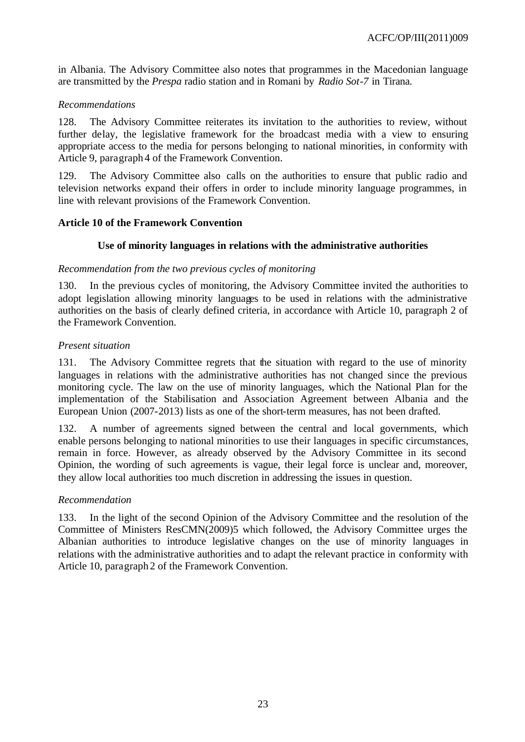in Albania. The Advisory Committee also notes that programmes in the Macedonian language are transmitted by the *Prespa* radio station and in Romani by *Radio Sot-7* in Tirana.

#### *Recommendations*

128. The Advisory Committee reiterates its invitation to the authorities to review, without further delay, the legislative framework for the broadcast media with a view to ensuring appropriate access to the media for persons belonging to national minorities, in conformity with Article 9, paragraph 4 of the Framework Convention.

129. The Advisory Committee also calls on the authorities to ensure that public radio and television networks expand their offers in order to include minority language programmes, in line with relevant provisions of the Framework Convention.

#### **Article 10 of the Framework Convention**

### **Use of minority languages in relations with the administrative authorities**

#### *Recommendation from the two previous cycles of monitoring*

130. In the previous cycles of monitoring, the Advisory Committee invited the authorities to adopt legislation allowing minority languages to be used in relations with the administrative authorities on the basis of clearly defined criteria, in accordance with Article 10, paragraph 2 of the Framework Convention.

#### *Present situation*

131. The Advisory Committee regrets that the situation with regard to the use of minority languages in relations with the administrative authorities has not changed since the previous monitoring cycle. The law on the use of minority languages, which the National Plan for the implementation of the Stabilisation and Association Agreement between Albania and the European Union (2007-2013) lists as one of the short-term measures, has not been drafted.

132. A number of agreements signed between the central and local governments, which enable persons belonging to national minorities to use their languages in specific circumstances, remain in force. However, as already observed by the Advisory Committee in its second Opinion, the wording of such agreements is vague, their legal force is unclear and, moreover, they allow local authorities too much discretion in addressing the issues in question.

#### *Recommendation*

133. In the light of the second Opinion of the Advisory Committee and the resolution of the Committee of Ministers ResCMN(2009)5 which followed, the Advisory Committee urges the Albanian authorities to introduce legislative changes on the use of minority languages in relations with the administrative authorities and to adapt the relevant practice in conformity with Article 10, paragraph 2 of the Framework Convention.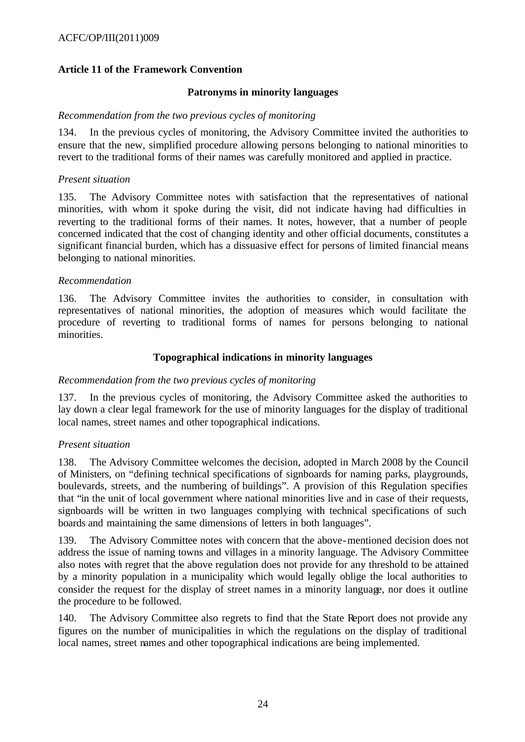# **Article 11 of the Framework Convention**

#### **Patronyms in minority languages**

#### *Recommendation from the two previous cycles of monitoring*

134. In the previous cycles of monitoring, the Advisory Committee invited the authorities to ensure that the new, simplified procedure allowing persons belonging to national minorities to revert to the traditional forms of their names was carefully monitored and applied in practice.

#### *Present situation*

135. The Advisory Committee notes with satisfaction that the representatives of national minorities, with whom it spoke during the visit, did not indicate having had difficulties in reverting to the traditional forms of their names. It notes, however, that a number of people concerned indicated that the cost of changing identity and other official documents, constitutes a significant financial burden, which has a dissuasive effect for persons of limited financial means belonging to national minorities.

#### *Recommendation*

136. The Advisory Committee invites the authorities to consider, in consultation with representatives of national minorities, the adoption of measures which would facilitate the procedure of reverting to traditional forms of names for persons belonging to national minorities.

#### **Topographical indications in minority languages**

#### *Recommendation from the two previous cycles of monitoring*

137. In the previous cycles of monitoring, the Advisory Committee asked the authorities to lay down a clear legal framework for the use of minority languages for the display of traditional local names, street names and other topographical indications.

#### *Present situation*

138. The Advisory Committee welcomes the decision, adopted in March 2008 by the Council of Ministers, on "defining technical specifications of signboards for naming parks, playgrounds, boulevards, streets, and the numbering of buildings". A provision of this Regulation specifies that "in the unit of local government where national minorities live and in case of their requests, signboards will be written in two languages complying with technical specifications of such boards and maintaining the same dimensions of letters in both languages".

139. The Advisory Committee notes with concern that the above-mentioned decision does not address the issue of naming towns and villages in a minority language. The Advisory Committee also notes with regret that the above regulation does not provide for any threshold to be attained by a minority population in a municipality which would legally oblige the local authorities to consider the request for the display of street names in a minority language, nor does it outline the procedure to be followed.

140. The Advisory Committee also regrets to find that the State Report does not provide any figures on the number of municipalities in which the regulations on the display of traditional local names, street names and other topographical indications are being implemented.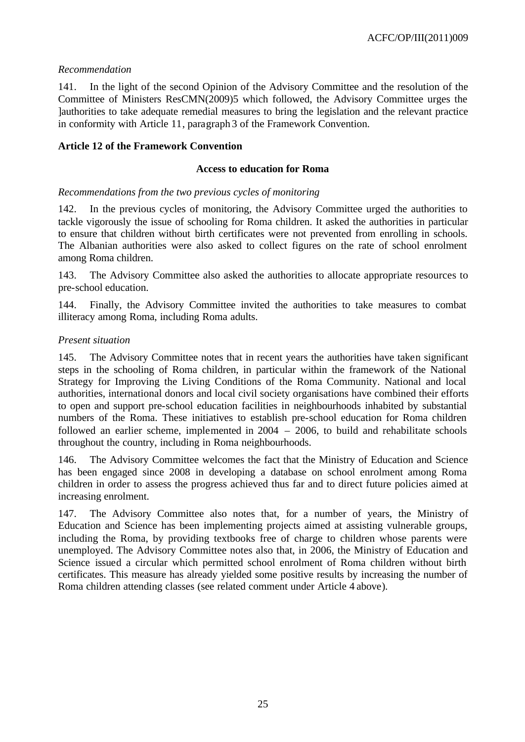# *Recommendation*

141. In the light of the second Opinion of the Advisory Committee and the resolution of the Committee of Ministers ResCMN(2009)5 which followed, the Advisory Committee urges the ]authorities to take adequate remedial measures to bring the legislation and the relevant practice in conformity with Article 11, paragraph 3 of the Framework Convention.

# **Article 12 of the Framework Convention**

# **Access to education for Roma**

### *Recommendations from the two previous cycles of monitoring*

142. In the previous cycles of monitoring, the Advisory Committee urged the authorities to tackle vigorously the issue of schooling for Roma children. It asked the authorities in particular to ensure that children without birth certificates were not prevented from enrolling in schools. The Albanian authorities were also asked to collect figures on the rate of school enrolment among Roma children.

143. The Advisory Committee also asked the authorities to allocate appropriate resources to pre-school education.

144. Finally, the Advisory Committee invited the authorities to take measures to combat illiteracy among Roma, including Roma adults.

### *Present situation*

145. The Advisory Committee notes that in recent years the authorities have taken significant steps in the schooling of Roma children, in particular within the framework of the National Strategy for Improving the Living Conditions of the Roma Community. National and local authorities, international donors and local civil society organisations have combined their efforts to open and support pre-school education facilities in neighbourhoods inhabited by substantial numbers of the Roma. These initiatives to establish pre-school education for Roma children followed an earlier scheme, implemented in 2004 – 2006, to build and rehabilitate schools throughout the country, including in Roma neighbourhoods.

146. The Advisory Committee welcomes the fact that the Ministry of Education and Science has been engaged since 2008 in developing a database on school enrolment among Roma children in order to assess the progress achieved thus far and to direct future policies aimed at increasing enrolment.

147. The Advisory Committee also notes that, for a number of years, the Ministry of Education and Science has been implementing projects aimed at assisting vulnerable groups, including the Roma, by providing textbooks free of charge to children whose parents were unemployed. The Advisory Committee notes also that, in 2006, the Ministry of Education and Science issued a circular which permitted school enrolment of Roma children without birth certificates. This measure has already yielded some positive results by increasing the number of Roma children attending classes (see related comment under Article 4 above).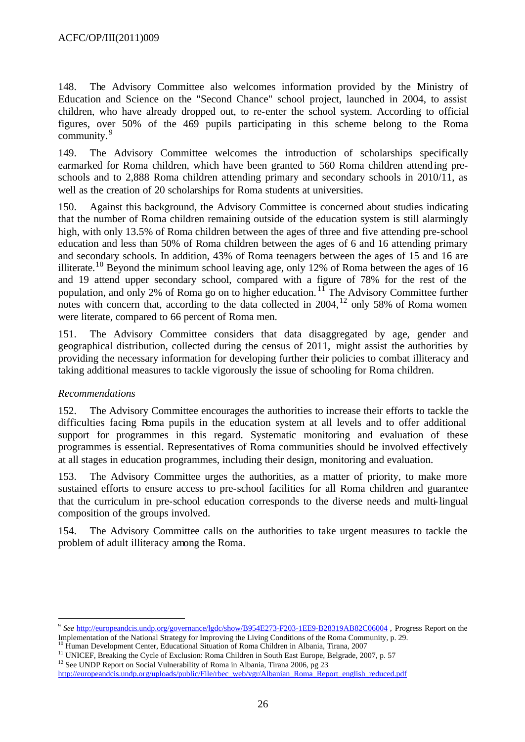148. The Advisory Committee also welcomes information provided by the Ministry of Education and Science on the "Second Chance" school project, launched in 2004, to assist children, who have already dropped out, to re-enter the school system. According to official figures, over 50% of the 469 pupils participating in this scheme belong to the Roma community.<sup>9</sup>

149. The Advisory Committee welcomes the introduction of scholarships specifically earmarked for Roma children, which have been granted to 560 Roma children attending preschools and to 2,888 Roma children attending primary and secondary schools in 2010/11, as well as the creation of 20 scholarships for Roma students at universities.

150. Against this background, the Advisory Committee is concerned about studies indicating that the number of Roma children remaining outside of the education system is still alarmingly high, with only 13.5% of Roma children between the ages of three and five attending pre-school education and less than 50% of Roma children between the ages of 6 and 16 attending primary and secondary schools. In addition, 43% of Roma teenagers between the ages of 15 and 16 are illiterate.<sup>10</sup> Beyond the minimum school leaving age, only 12% of Roma between the ages of 16 and 19 attend upper secondary school, compared with a figure of 78% for the rest of the population, and only 2% of Roma go on to higher education.<sup>11</sup> The Advisory Committee further notes with concern that, according to the data collected in 2004,<sup>12</sup> only 58% of Roma women were literate, compared to 66 percent of Roma men.

151. The Advisory Committee considers that data disaggregated by age, gender and geographical distribution, collected during the census of 2011, might assist the authorities by providing the necessary information for developing further their policies to combat illiteracy and taking additional measures to tackle vigorously the issue of schooling for Roma children.

### *Recommendations*

l

152. The Advisory Committee encourages the authorities to increase their efforts to tackle the difficulties facing Roma pupils in the education system at all levels and to offer additional support for programmes in this regard. Systematic monitoring and evaluation of these programmes is essential. Representatives of Roma communities should be involved effectively at all stages in education programmes, including their design, monitoring and evaluation.

153. The Advisory Committee urges the authorities, as a matter of priority, to make more sustained efforts to ensure access to pre-school facilities for all Roma children and guarantee that the curriculum in pre-school education corresponds to the diverse needs and multi-lingual composition of the groups involved.

154. The Advisory Committee calls on the authorities to take urgent measures to tackle the problem of adult illiteracy among the Roma.

<sup>9</sup> *See* http://europeandcis.undp.org/governance/lgdc/show/B954E273-F203-1EE9-B28319AB82C06004 , Progress Report on the Implementation of the National Strategy for Improving the Living Conditions of the Roma Community, p. 29.

<sup>&</sup>lt;sup>10</sup> Human Development Center, Educational Situation of Roma Children in Albania, Tirana, 2007

<sup>&</sup>lt;sup>11</sup> UNICEF, Breaking the Cycle of Exclusion: Roma Children in South East Europe, Belgrade, 2007, p. 57 <sup>12</sup> See UNDP Report on Social Vulnerability of Roma in Albania, Tirana 2006, pg 23

http://europeandcis.undp.org/uploads/public/File/rbec\_web/vgr/Albanian\_Roma\_Report\_english\_reduced.pdf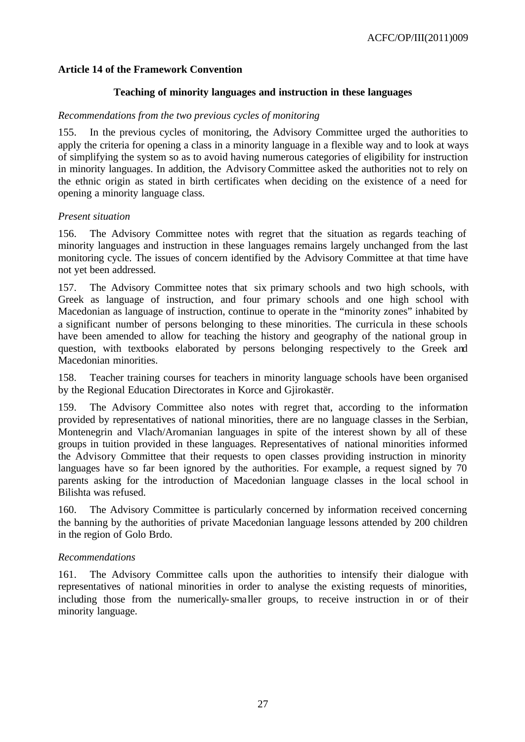### **Article 14 of the Framework Convention**

#### **Teaching of minority languages and instruction in these languages**

#### *Recommendations from the two previous cycles of monitoring*

155. In the previous cycles of monitoring, the Advisory Committee urged the authorities to apply the criteria for opening a class in a minority language in a flexible way and to look at ways of simplifying the system so as to avoid having numerous categories of eligibility for instruction in minority languages. In addition, the Advisory Committee asked the authorities not to rely on the ethnic origin as stated in birth certificates when deciding on the existence of a need for opening a minority language class.

#### *Present situation*

156. The Advisory Committee notes with regret that the situation as regards teaching of minority languages and instruction in these languages remains largely unchanged from the last monitoring cycle. The issues of concern identified by the Advisory Committee at that time have not yet been addressed.

157. The Advisory Committee notes that six primary schools and two high schools, with Greek as language of instruction, and four primary schools and one high school with Macedonian as language of instruction, continue to operate in the "minority zones" inhabited by a significant number of persons belonging to these minorities. The curricula in these schools have been amended to allow for teaching the history and geography of the national group in question, with textbooks elaborated by persons belonging respectively to the Greek and Macedonian minorities.

158. Teacher training courses for teachers in minority language schools have been organised by the Regional Education Directorates in Korce and Gjirokastër.

159. The Advisory Committee also notes with regret that, according to the information provided by representatives of national minorities, there are no language classes in the Serbian, Montenegrin and Vlach/Aromanian languages in spite of the interest shown by all of these groups in tuition provided in these languages. Representatives of national minorities informed the Advisory Committee that their requests to open classes providing instruction in minority languages have so far been ignored by the authorities. For example, a request signed by 70 parents asking for the introduction of Macedonian language classes in the local school in Bilishta was refused.

160. The Advisory Committee is particularly concerned by information received concerning the banning by the authorities of private Macedonian language lessons attended by 200 children in the region of Golo Brdo.

### *Recommendations*

161. The Advisory Committee calls upon the authorities to intensify their dialogue with representatives of national minorities in order to analyse the existing requests of minorities, including those from the numerically-smaller groups, to receive instruction in or of their minority language.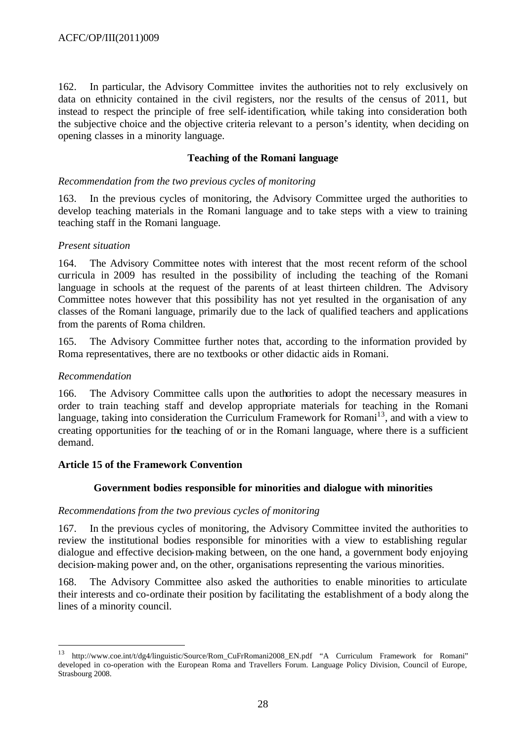162. In particular, the Advisory Committee invites the authorities not to rely exclusively on data on ethnicity contained in the civil registers, nor the results of the census of 2011, but instead to respect the principle of free self-identification, while taking into consideration both the subjective choice and the objective criteria relevant to a person's identity, when deciding on opening classes in a minority language.

#### **Teaching of the Romani language**

#### *Recommendation from the two previous cycles of monitoring*

163. In the previous cycles of monitoring, the Advisory Committee urged the authorities to develop teaching materials in the Romani language and to take steps with a view to training teaching staff in the Romani language.

#### *Present situation*

164. The Advisory Committee notes with interest that the most recent reform of the school curricula in 2009 has resulted in the possibility of including the teaching of the Romani language in schools at the request of the parents of at least thirteen children. The Advisory Committee notes however that this possibility has not yet resulted in the organisation of any classes of the Romani language, primarily due to the lack of qualified teachers and applications from the parents of Roma children.

165. The Advisory Committee further notes that, according to the information provided by Roma representatives, there are no textbooks or other didactic aids in Romani.

#### *Recommendation*

l

166. The Advisory Committee calls upon the authorities to adopt the necessary measures in order to train teaching staff and develop appropriate materials for teaching in the Romani language, taking into consideration the Curriculum Framework for Romani<sup>13</sup>, and with a view to creating opportunities for the teaching of or in the Romani language, where there is a sufficient demand.

#### **Article 15 of the Framework Convention**

#### **Government bodies responsible for minorities and dialogue with minorities**

#### *Recommendations from the two previous cycles of monitoring*

167. In the previous cycles of monitoring, the Advisory Committee invited the authorities to review the institutional bodies responsible for minorities with a view to establishing regular dialogue and effective decision-making between, on the one hand, a government body enjoying decision-making power and, on the other, organisations representing the various minorities.

168. The Advisory Committee also asked the authorities to enable minorities to articulate their interests and co-ordinate their position by facilitating the establishment of a body along the lines of a minority council.

<sup>13</sup> http://www.coe.int/t/dg4/linguistic/Source/Rom\_CuFrRomani2008\_EN.pdf "A Curriculum Framework for Romani" developed in co-operation with the European Roma and Travellers Forum. Language Policy Division, Council of Europe, Strasbourg 2008.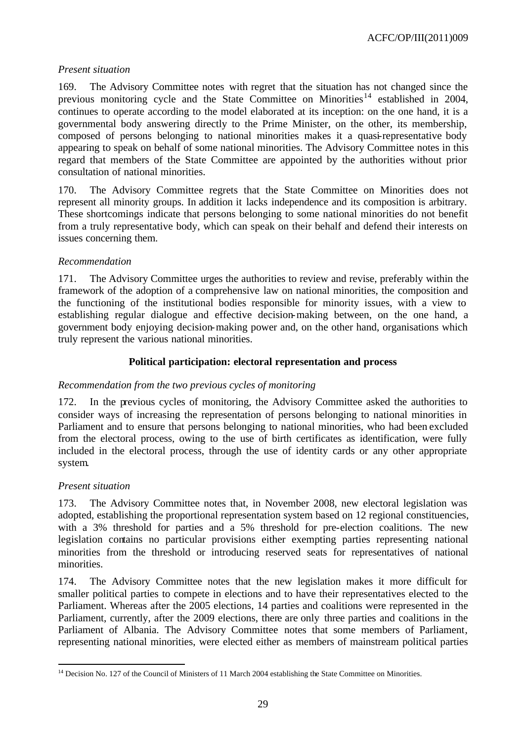# *Present situation*

169. The Advisory Committee notes with regret that the situation has not changed since the previous monitoring cycle and the State Committee on Minorities<sup>14</sup> established in 2004, continues to operate according to the model elaborated at its inception: on the one hand, it is a governmental body answering directly to the Prime Minister, on the other, its membership, composed of persons belonging to national minorities makes it a quasi-representative body appearing to speak on behalf of some national minorities. The Advisory Committee notes in this regard that members of the State Committee are appointed by the authorities without prior consultation of national minorities.

170. The Advisory Committee regrets that the State Committee on Minorities does not represent all minority groups. In addition it lacks independence and its composition is arbitrary. These shortcomings indicate that persons belonging to some national minorities do not benefit from a truly representative body, which can speak on their behalf and defend their interests on issues concerning them.

### *Recommendation*

171. The Advisory Committee urges the authorities to review and revise, preferably within the framework of the adoption of a comprehensive law on national minorities, the composition and the functioning of the institutional bodies responsible for minority issues, with a view to establishing regular dialogue and effective decision-making between, on the one hand, a government body enjoying decision-making power and, on the other hand, organisations which truly represent the various national minorities.

# **Political participation: electoral representation and process**

### *Recommendation from the two previous cycles of monitoring*

172. In the previous cycles of monitoring, the Advisory Committee asked the authorities to consider ways of increasing the representation of persons belonging to national minorities in Parliament and to ensure that persons belonging to national minorities, who had been excluded from the electoral process, owing to the use of birth certificates as identification, were fully included in the electoral process, through the use of identity cards or any other appropriate system.

### *Present situation*

l

173. The Advisory Committee notes that, in November 2008, new electoral legislation was adopted, establishing the proportional representation system based on 12 regional constituencies, with a 3% threshold for parties and a 5% threshold for pre-election coalitions. The new legislation contains no particular provisions either exempting parties representing national minorities from the threshold or introducing reserved seats for representatives of national minorities.

174. The Advisory Committee notes that the new legislation makes it more difficult for smaller political parties to compete in elections and to have their representatives elected to the Parliament. Whereas after the 2005 elections, 14 parties and coalitions were represented in the Parliament, currently, after the 2009 elections, there are only three parties and coalitions in the Parliament of Albania. The Advisory Committee notes that some members of Parliament, representing national minorities, were elected either as members of mainstream political parties

<sup>&</sup>lt;sup>14</sup> Decision No. 127 of the Council of Ministers of 11 March 2004 establishing the State Committee on Minorities.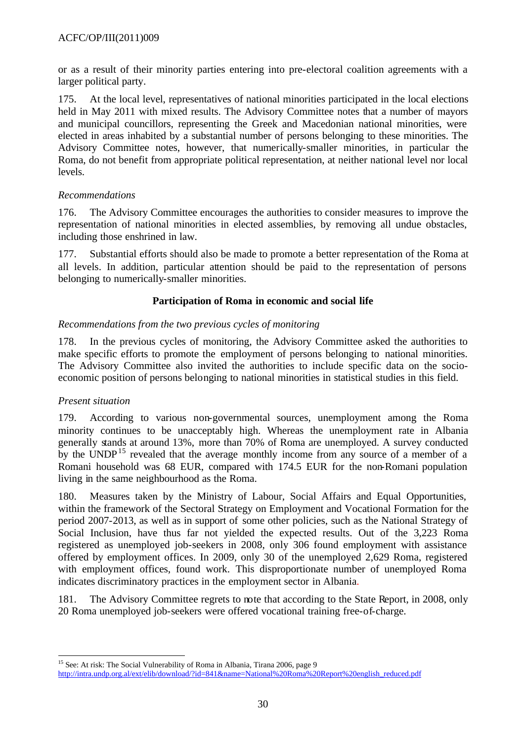or as a result of their minority parties entering into pre-electoral coalition agreements with a larger political party.

175. At the local level, representatives of national minorities participated in the local elections held in May 2011 with mixed results. The Advisory Committee notes that a number of mayors and municipal councillors, representing the Greek and Macedonian national minorities, were elected in areas inhabited by a substantial number of persons belonging to these minorities. The Advisory Committee notes, however, that numerically-smaller minorities, in particular the Roma, do not benefit from appropriate political representation, at neither national level nor local levels.

### *Recommendations*

176. The Advisory Committee encourages the authorities to consider measures to improve the representation of national minorities in elected assemblies, by removing all undue obstacles, including those enshrined in law.

177. Substantial efforts should also be made to promote a better representation of the Roma at all levels. In addition, particular attention should be paid to the representation of persons belonging to numerically-smaller minorities.

# **Participation of Roma in economic and social life**

### *Recommendations from the two previous cycles of monitoring*

178. In the previous cycles of monitoring, the Advisory Committee asked the authorities to make specific efforts to promote the employment of persons belonging to national minorities. The Advisory Committee also invited the authorities to include specific data on the socioeconomic position of persons belonging to national minorities in statistical studies in this field.

### *Present situation*

179. According to various non-governmental sources, unemployment among the Roma minority continues to be unacceptably high. Whereas the unemployment rate in Albania generally stands at around 13%, more than 70% of Roma are unemployed. A survey conducted by the UNDP<sup>15</sup> revealed that the average monthly income from any source of a member of a Romani household was 68 EUR, compared with 174.5 EUR for the non-Romani population living in the same neighbourhood as the Roma.

180. Measures taken by the Ministry of Labour, Social Affairs and Equal Opportunities, within the framework of the Sectoral Strategy on Employment and Vocational Formation for the period 2007-2013, as well as in support of some other policies, such as the National Strategy of Social Inclusion, have thus far not yielded the expected results. Out of the 3,223 Roma registered as unemployed job-seekers in 2008, only 306 found employment with assistance offered by employment offices. In 2009, only 30 of the unemployed 2,629 Roma, registered with employment offices, found work. This disproportionate number of unemployed Roma indicates discriminatory practices in the employment sector in Albania.

181. The Advisory Committee regrets to note that according to the State Report, in 2008, only 20 Roma unemployed job-seekers were offered vocational training free-of-charge.

l <sup>15</sup> See: At risk: The Social Vulnerability of Roma in Albania, Tirana 2006, page 9 http://intra.undp.org.al/ext/elib/download/?id=841&name=National%20Roma%20Report%20english\_reduced.pdf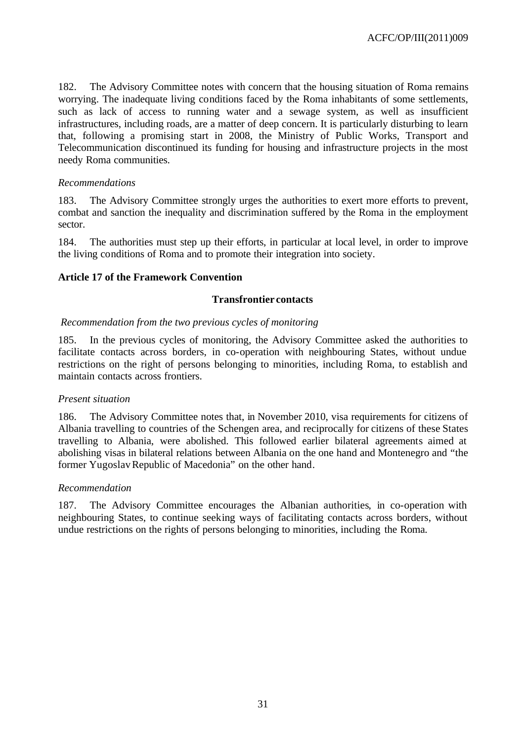182. The Advisory Committee notes with concern that the housing situation of Roma remains worrying. The inadequate living conditions faced by the Roma inhabitants of some settlements, such as lack of access to running water and a sewage system, as well as insufficient infrastructures, including roads, are a matter of deep concern. It is particularly disturbing to learn that, following a promising start in 2008, the Ministry of Public Works, Transport and Telecommunication discontinued its funding for housing and infrastructure projects in the most needy Roma communities.

#### *Recommendations*

183. The Advisory Committee strongly urges the authorities to exert more efforts to prevent, combat and sanction the inequality and discrimination suffered by the Roma in the employment sector.

184. The authorities must step up their efforts, in particular at local level, in order to improve the living conditions of Roma and to promote their integration into society.

### **Article 17 of the Framework Convention**

#### **Transfrontier contacts**

#### *Recommendation from the two previous cycles of monitoring*

185. In the previous cycles of monitoring, the Advisory Committee asked the authorities to facilitate contacts across borders, in co-operation with neighbouring States, without undue restrictions on the right of persons belonging to minorities, including Roma, to establish and maintain contacts across frontiers.

#### *Present situation*

186. The Advisory Committee notes that, in November 2010, visa requirements for citizens of Albania travelling to countries of the Schengen area, and reciprocally for citizens of these States travelling to Albania, were abolished. This followed earlier bilateral agreements aimed at abolishing visas in bilateral relations between Albania on the one hand and Montenegro and "the former Yugoslav Republic of Macedonia" on the other hand.

#### *Recommendation*

187. The Advisory Committee encourages the Albanian authorities, in co-operation with neighbouring States, to continue seeking ways of facilitating contacts across borders, without undue restrictions on the rights of persons belonging to minorities, including the Roma.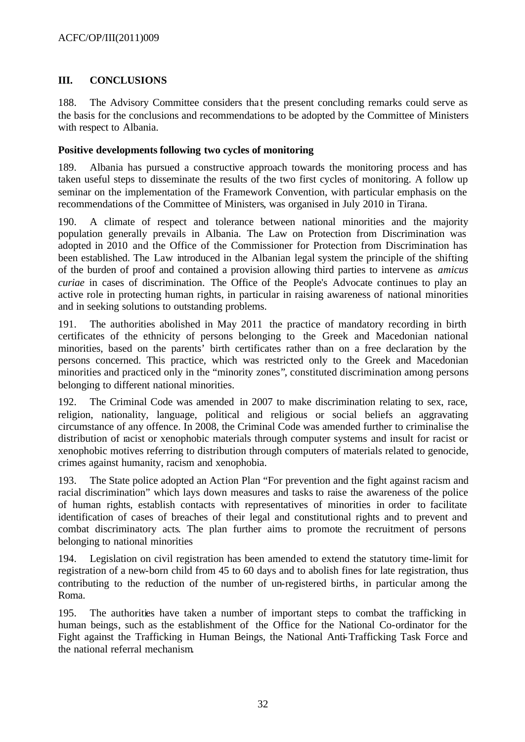# **III. CONCLUSIONS**

188. The Advisory Committee considers that the present concluding remarks could serve as the basis for the conclusions and recommendations to be adopted by the Committee of Ministers with respect to Albania.

#### **Positive developments following two cycles of monitoring**

189. Albania has pursued a constructive approach towards the monitoring process and has taken useful steps to disseminate the results of the two first cycles of monitoring. A follow up seminar on the implementation of the Framework Convention, with particular emphasis on the recommendations of the Committee of Ministers, was organised in July 2010 in Tirana.

190. A climate of respect and tolerance between national minorities and the majority population generally prevails in Albania. The Law on Protection from Discrimination was adopted in 2010 and the Office of the Commissioner for Protection from Discrimination has been established. The Law introduced in the Albanian legal system the principle of the shifting of the burden of proof and contained a provision allowing third parties to intervene as *amicus curiae* in cases of discrimination. The Office of the People's Advocate continues to play an active role in protecting human rights, in particular in raising awareness of national minorities and in seeking solutions to outstanding problems.

191. The authorities abolished in May 2011 the practice of mandatory recording in birth certificates of the ethnicity of persons belonging to the Greek and Macedonian national minorities, based on the parents' birth certificates rather than on a free declaration by the persons concerned. This practice, which was restricted only to the Greek and Macedonian minorities and practiced only in the "minority zones", constituted discrimination among persons belonging to different national minorities.

192. The Criminal Code was amended in 2007 to make discrimination relating to sex, race, religion, nationality, language, political and religious or social beliefs an aggravating circumstance of any offence. In 2008, the Criminal Code was amended further to criminalise the distribution of racist or xenophobic materials through computer systems and insult for racist or xenophobic motives referring to distribution through computers of materials related to genocide, crimes against humanity, racism and xenophobia.

193. The State police adopted an Action Plan "For prevention and the fight against racism and racial discrimination" which lays down measures and tasks to raise the awareness of the police of human rights, establish contacts with representatives of minorities in order to facilitate identification of cases of breaches of their legal and constitutional rights and to prevent and combat discriminatory acts. The plan further aims to promote the recruitment of persons belonging to national minorities

194. Legislation on civil registration has been amended to extend the statutory time-limit for registration of a new-born child from 45 to 60 days and to abolish fines for late registration, thus contributing to the reduction of the number of un-registered births, in particular among the Roma.

195. The authorities have taken a number of important steps to combat the trafficking in human beings, such as the establishment of the Office for the National Co-ordinator for the Fight against the Trafficking in Human Beings, the National Anti-Trafficking Task Force and the national referral mechanism.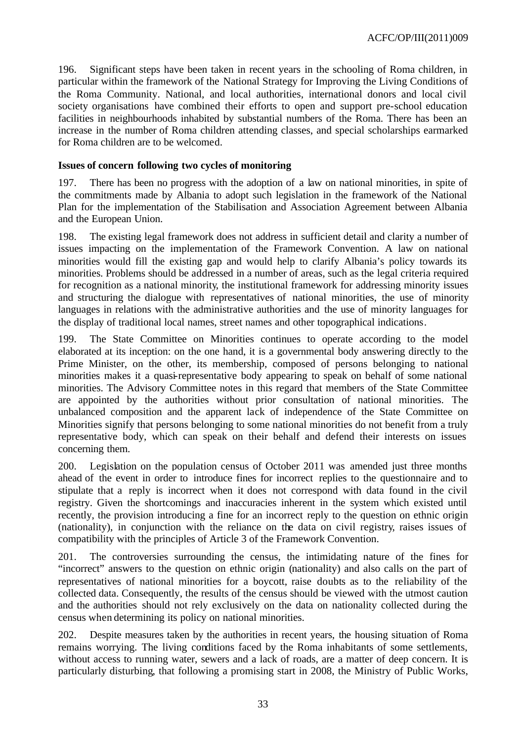196. Significant steps have been taken in recent years in the schooling of Roma children, in particular within the framework of the National Strategy for Improving the Living Conditions of the Roma Community. National, and local authorities, international donors and local civil society organisations have combined their efforts to open and support pre-school education facilities in neighbourhoods inhabited by substantial numbers of the Roma. There has been an increase in the number of Roma children attending classes, and special scholarships earmarked for Roma children are to be welcomed.

# **Issues of concern following two cycles of monitoring**

197. There has been no progress with the adoption of a law on national minorities, in spite of the commitments made by Albania to adopt such legislation in the framework of the National Plan for the implementation of the Stabilisation and Association Agreement between Albania and the European Union.

198. The existing legal framework does not address in sufficient detail and clarity a number of issues impacting on the implementation of the Framework Convention. A law on national minorities would fill the existing gap and would help to clarify Albania's policy towards its minorities. Problems should be addressed in a number of areas, such as the legal criteria required for recognition as a national minority, the institutional framework for addressing minority issues and structuring the dialogue with representatives of national minorities, the use of minority languages in relations with the administrative authorities and the use of minority languages for the display of traditional local names, street names and other topographical indications.

199. The State Committee on Minorities continues to operate according to the model elaborated at its inception: on the one hand, it is a governmental body answering directly to the Prime Minister, on the other, its membership, composed of persons belonging to national minorities makes it a quasi-representative body appearing to speak on behalf of some national minorities. The Advisory Committee notes in this regard that members of the State Committee are appointed by the authorities without prior consultation of national minorities. The unbalanced composition and the apparent lack of independence of the State Committee on Minorities signify that persons belonging to some national minorities do not benefit from a truly representative body, which can speak on their behalf and defend their interests on issues concerning them.

200. Legislation on the population census of October 2011 was amended just three months ahead of the event in order to introduce fines for incorrect replies to the questionnaire and to stipulate that a reply is incorrect when it does not correspond with data found in the civil registry. Given the shortcomings and inaccuracies inherent in the system which existed until recently, the provision introducing a fine for an incorrect reply to the question on ethnic origin (nationality), in conjunction with the reliance on the data on civil registry, raises issues of compatibility with the principles of Article 3 of the Framework Convention.

201. The controversies surrounding the census, the intimidating nature of the fines for "incorrect" answers to the question on ethnic origin (nationality) and also calls on the part of representatives of national minorities for a boycott, raise doubts as to the reliability of the collected data. Consequently, the results of the census should be viewed with the utmost caution and the authorities should not rely exclusively on the data on nationality collected during the census when determining its policy on national minorities.

202. Despite measures taken by the authorities in recent years, the housing situation of Roma remains worrying. The living conditions faced by the Roma inhabitants of some settlements, without access to running water, sewers and a lack of roads, are a matter of deep concern. It is particularly disturbing, that following a promising start in 2008, the Ministry of Public Works,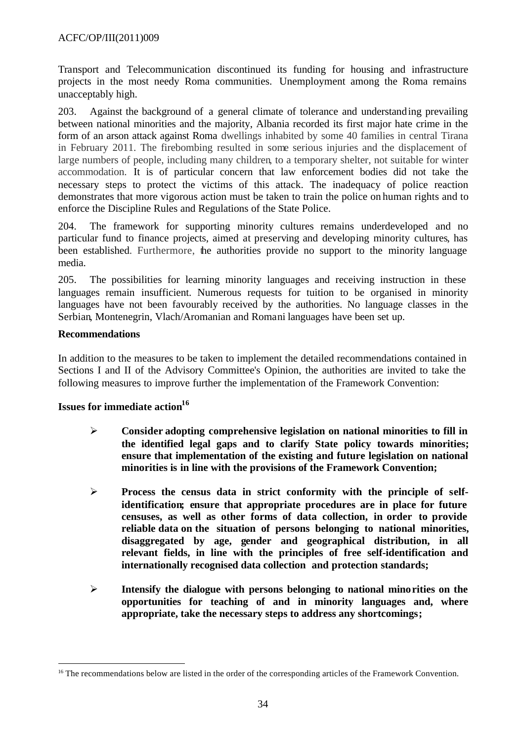Transport and Telecommunication discontinued its funding for housing and infrastructure projects in the most needy Roma communities. Unemployment among the Roma remains unacceptably high.

203. Against the background of a general climate of tolerance and understanding prevailing between national minorities and the majority, Albania recorded its first major hate crime in the form of an arson attack against Roma dwellings inhabited by some 40 families in central Tirana in February 2011. The firebombing resulted in some serious injuries and the displacement of large numbers of people, including many children, to a temporary shelter, not suitable for winter accommodation. It is of particular concern that law enforcement bodies did not take the necessary steps to protect the victims of this attack. The inadequacy of police reaction demonstrates that more vigorous action must be taken to train the police on human rights and to enforce the Discipline Rules and Regulations of the State Police.

204. The framework for supporting minority cultures remains underdeveloped and no particular fund to finance projects, aimed at preserving and developing minority cultures, has been established. Furthermore, the authorities provide no support to the minority language media.

205. The possibilities for learning minority languages and receiving instruction in these languages remain insufficient. Numerous requests for tuition to be organised in minority languages have not been favourably received by the authorities. No language classes in the Serbian, Montenegrin, Vlach/Aromanian and Romani languages have been set up.

### **Recommendations**

l

In addition to the measures to be taken to implement the detailed recommendations contained in Sections I and II of the Advisory Committee's Opinion, the authorities are invited to take the following measures to improve further the implementation of the Framework Convention:

# **Issues for immediate action<sup>16</sup>**

- ÿ **Consider adopting comprehensive legislation on national minorities to fill in the identified legal gaps and to clarify State policy towards minorities; ensure that implementation of the existing and future legislation on national minorities is in line with the provisions of the Framework Convention;**
- ÿ **Process the census data in strict conformity with the principle of selfidentification; ensure that appropriate procedures are in place for future censuses, as well as other forms of data collection, in order to provide reliable data on the situation of persons belonging to national minorities, disaggregated by age, gender and geographical distribution, in all relevant fields, in line with the principles of free self-identification and internationally recognised data collection and protection standards;**
- ÿ **Intensify the dialogue with persons belonging to national minorities on the opportunities for teaching of and in minority languages and, where appropriate, take the necessary steps to address any shortcomings;**

<sup>&</sup>lt;sup>16</sup> The recommendations below are listed in the order of the corresponding articles of the Framework Convention.